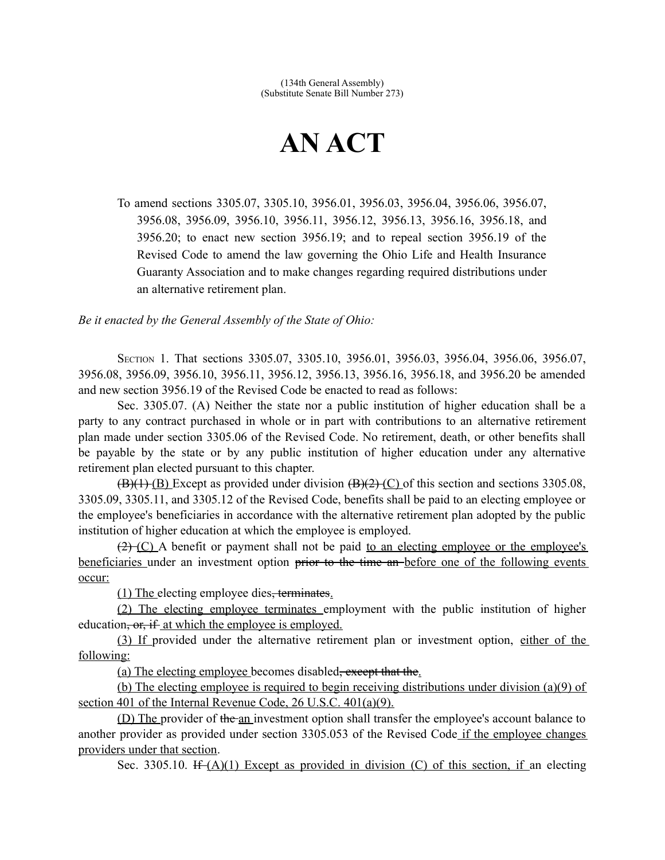## **AN ACT**

To amend sections 3305.07, 3305.10, 3956.01, 3956.03, 3956.04, 3956.06, 3956.07, 3956.08, 3956.09, 3956.10, 3956.11, 3956.12, 3956.13, 3956.16, 3956.18, and 3956.20; to enact new section 3956.19; and to repeal section 3956.19 of the Revised Code to amend the law governing the Ohio Life and Health Insurance Guaranty Association and to make changes regarding required distributions under an alternative retirement plan.

*Be it enacted by the General Assembly of the State of Ohio:*

SECTION 1. That sections 3305.07, 3305.10, 3956.01, 3956.03, 3956.04, 3956.06, 3956.07, 3956.08, 3956.09, 3956.10, 3956.11, 3956.12, 3956.13, 3956.16, 3956.18, and 3956.20 be amended and new section 3956.19 of the Revised Code be enacted to read as follows:

Sec. 3305.07. (A) Neither the state nor a public institution of higher education shall be a party to any contract purchased in whole or in part with contributions to an alternative retirement plan made under section 3305.06 of the Revised Code. No retirement, death, or other benefits shall be payable by the state or by any public institution of higher education under any alternative retirement plan elected pursuant to this chapter.

 $(B)(1)$  (B) Except as provided under division  $(B)(2)$  (C) of this section and sections 3305.08, 3305.09, 3305.11, and 3305.12 of the Revised Code, benefits shall be paid to an electing employee or the employee's beneficiaries in accordance with the alternative retirement plan adopted by the public institution of higher education at which the employee is employed.

 $(2)$  (C) A benefit or payment shall not be paid to an electing employee or the employee's beneficiaries under an investment option prior to the time an before one of the following events occur:

(1) The electing employee dies, terminates.

(2) The electing employee terminates employment with the public institution of higher education, or, if at which the employee is employed.

(3) If provided under the alternative retirement plan or investment option, either of the following:

(a) The electing employee becomes disabled, except that the.

(b) The electing employee is required to begin receiving distributions under division (a)(9) of section 401 of the Internal Revenue Code, 26 U.S.C. 401(a)(9).

(D) The provider of the an investment option shall transfer the employee's account balance to another provider as provided under section 3305.053 of the Revised Code if the employee changes providers under that section.

Sec. 3305.10. If  $(A)(1)$  Except as provided in division (C) of this section, if an electing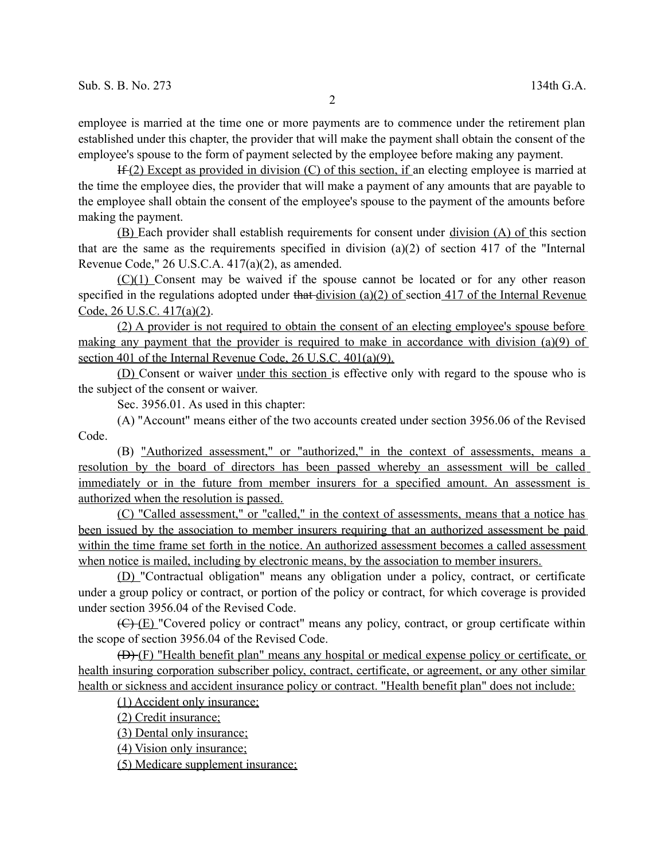employee is married at the time one or more payments are to commence under the retirement plan established under this chapter, the provider that will make the payment shall obtain the consent of the employee's spouse to the form of payment selected by the employee before making any payment.

 $H(f(2))$  Except as provided in division (C) of this section, if an electing employee is married at the time the employee dies, the provider that will make a payment of any amounts that are payable to the employee shall obtain the consent of the employee's spouse to the payment of the amounts before making the payment.

(B) Each provider shall establish requirements for consent under division (A) of this section that are the same as the requirements specified in division (a)(2) of section 417 of the "Internal Revenue Code," 26 U.S.C.A. 417(a)(2), as amended.

(C)(1) Consent may be waived if the spouse cannot be located or for any other reason specified in the regulations adopted under that division  $(a)(2)$  of section 417 of the Internal Revenue Code, 26 U.S.C. 417(a)(2).

(2) A provider is not required to obtain the consent of an electing employee's spouse before making any payment that the provider is required to make in accordance with division (a)(9) of section 401 of the Internal Revenue Code, 26 U.S.C. 401(a)(9).

(D) Consent or waiver under this section is effective only with regard to the spouse who is the subject of the consent or waiver.

Sec. 3956.01. As used in this chapter:

(A) "Account" means either of the two accounts created under section 3956.06 of the Revised Code.

(B) "Authorized assessment," or "authorized," in the context of assessments, means a resolution by the board of directors has been passed whereby an assessment will be called immediately or in the future from member insurers for a specified amount. An assessment is authorized when the resolution is passed.

(C) "Called assessment," or "called," in the context of assessments, means that a notice has been issued by the association to member insurers requiring that an authorized assessment be paid within the time frame set forth in the notice. An authorized assessment becomes a called assessment when notice is mailed, including by electronic means, by the association to member insurers.

(D) "Contractual obligation" means any obligation under a policy, contract, or certificate under a group policy or contract, or portion of the policy or contract, for which coverage is provided under section 3956.04 of the Revised Code.

 $(\overline{C})$  (E) "Covered policy or contract" means any policy, contract, or group certificate within the scope of section 3956.04 of the Revised Code.

(D) (F) "Health benefit plan" means any hospital or medical expense policy or certificate, or health insuring corporation subscriber policy, contract, certificate, or agreement, or any other similar health or sickness and accident insurance policy or contract. "Health benefit plan" does not include:

(1) Accident only insurance;

(2) Credit insurance;

(3) Dental only insurance;

(4) Vision only insurance;

(5) Medicare supplement insurance;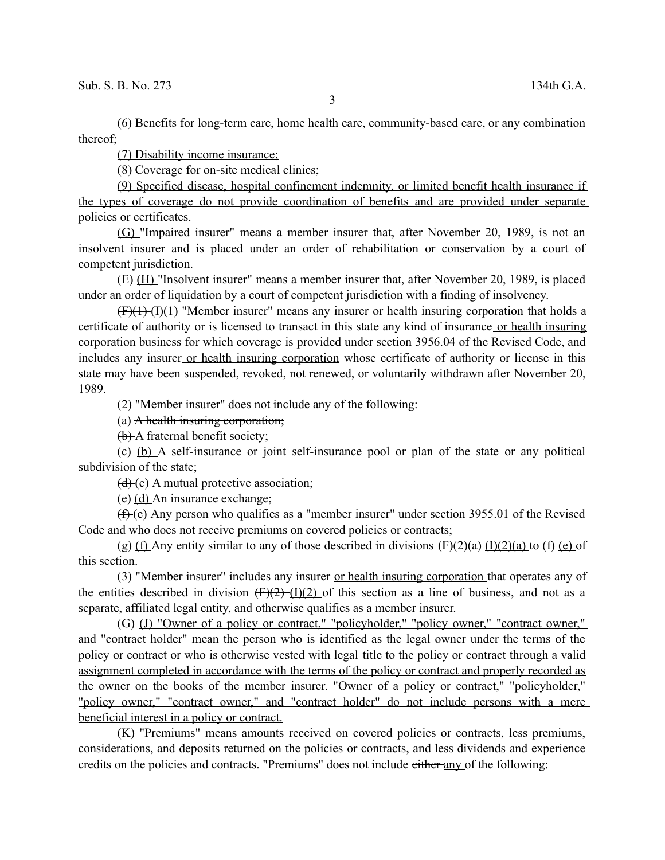(6) Benefits for long-term care, home health care, community-based care, or any combination thereof;

(7) Disability income insurance;

(8) Coverage for on-site medical clinics;

(9) Specified disease, hospital confinement indemnity, or limited benefit health insurance if the types of coverage do not provide coordination of benefits and are provided under separate policies or certificates.

(G) "Impaired insurer" means a member insurer that, after November 20, 1989, is not an insolvent insurer and is placed under an order of rehabilitation or conservation by a court of competent jurisdiction.

 $(E)$  (H) "Insolvent insurer" means a member insurer that, after November 20, 1989, is placed under an order of liquidation by a court of competent jurisdiction with a finding of insolvency.

 $(F)(1)$  "Member insurer" means any insurer or health insuring corporation that holds a certificate of authority or is licensed to transact in this state any kind of insurance or health insuring corporation business for which coverage is provided under section 3956.04 of the Revised Code, and includes any insurer or health insuring corporation whose certificate of authority or license in this state may have been suspended, revoked, not renewed, or voluntarily withdrawn after November 20, 1989.

(2) "Member insurer" does not include any of the following:

(a) A health insuring corporation;

(b) A fraternal benefit society;

 $(e)$  (b) A self-insurance or joint self-insurance pool or plan of the state or any political subdivision of the state;

 $(d)$  (c) A mutual protective association;

 $(e)(d)$  An insurance exchange;

(f) (e) Any person who qualifies as a "member insurer" under section 3955.01 of the Revised Code and who does not receive premiums on covered policies or contracts;

(g) (f) Any entity similar to any of those described in divisions  $(F)(2)(a)$  (I)(2)(a) to  $(F)(e)$  of this section.

(3) "Member insurer" includes any insurer or health insuring corporation that operates any of the entities described in division  $(F)(2)$  (I)(2) of this section as a line of business, and not as a separate, affiliated legal entity, and otherwise qualifies as a member insurer.

(G) (J) "Owner of a policy or contract," "policyholder," "policy owner," "contract owner," and "contract holder" mean the person who is identified as the legal owner under the terms of the policy or contract or who is otherwise vested with legal title to the policy or contract through a valid assignment completed in accordance with the terms of the policy or contract and properly recorded as the owner on the books of the member insurer. "Owner of a policy or contract," "policyholder," "policy owner," "contract owner," and "contract holder" do not include persons with a mere beneficial interest in a policy or contract.

(K) "Premiums" means amounts received on covered policies or contracts, less premiums, considerations, and deposits returned on the policies or contracts, and less dividends and experience credits on the policies and contracts. "Premiums" does not include either any of the following:

3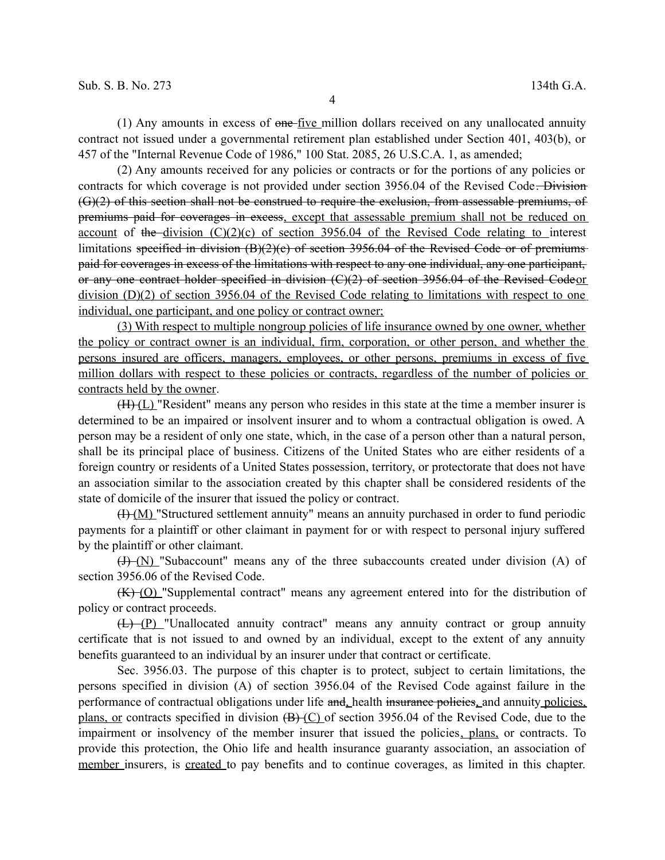(1) Any amounts in excess of one five million dollars received on any unallocated annuity contract not issued under a governmental retirement plan established under Section 401, 403(b), or 457 of the "Internal Revenue Code of 1986," 100 Stat. 2085, 26 U.S.C.A. 1, as amended;

(2) Any amounts received for any policies or contracts or for the portions of any policies or contracts for which coverage is not provided under section 3956.04 of the Revised Code. Division (G)(2) of this section shall not be construed to require the exclusion, from assessable premiums, of premiums paid for coverages in excess, except that assessable premium shall not be reduced on account of the division  $(C)(2)(c)$  of section 3956.04 of the Revised Code relating to interest limitations specified in division (B)(2)(c) of section 3956.04 of the Revised Code or of premiums paid for coverages in excess of the limitations with respect to any one individual, any one participant, or any one contract holder specified in division (C)(2) of section 3956.04 of the Revised Codeor division (D)(2) of section 3956.04 of the Revised Code relating to limitations with respect to one individual, one participant, and one policy or contract owner;

(3) With respect to multiple nongroup policies of life insurance owned by one owner, whether the policy or contract owner is an individual, firm, corporation, or other person, and whether the persons insured are officers, managers, employees, or other persons, premiums in excess of five million dollars with respect to these policies or contracts, regardless of the number of policies or contracts held by the owner.

 $(H)$  ( $L$ ) "Resident" means any person who resides in this state at the time a member insurer is determined to be an impaired or insolvent insurer and to whom a contractual obligation is owed. A person may be a resident of only one state, which, in the case of a person other than a natural person, shall be its principal place of business. Citizens of the United States who are either residents of a foreign country or residents of a United States possession, territory, or protectorate that does not have an association similar to the association created by this chapter shall be considered residents of the state of domicile of the insurer that issued the policy or contract.

(I) (M) "Structured settlement annuity" means an annuity purchased in order to fund periodic payments for a plaintiff or other claimant in payment for or with respect to personal injury suffered by the plaintiff or other claimant.

 $(H)$  (N) "Subaccount" means any of the three subaccounts created under division (A) of section 3956.06 of the Revised Code.

(K) (O) "Supplemental contract" means any agreement entered into for the distribution of policy or contract proceeds.

 $(L)$  (P) "Unallocated annuity contract" means any annuity contract or group annuity certificate that is not issued to and owned by an individual, except to the extent of any annuity benefits guaranteed to an individual by an insurer under that contract or certificate.

Sec. 3956.03. The purpose of this chapter is to protect, subject to certain limitations, the persons specified in division (A) of section 3956.04 of the Revised Code against failure in the performance of contractual obligations under life and, health insurance policies, and annuity policies, plans, or contracts specified in division  $(B)(C)$  of section 3956.04 of the Revised Code, due to the impairment or insolvency of the member insurer that issued the policies, plans, or contracts. To provide this protection, the Ohio life and health insurance guaranty association, an association of member insurers, is created to pay benefits and to continue coverages, as limited in this chapter.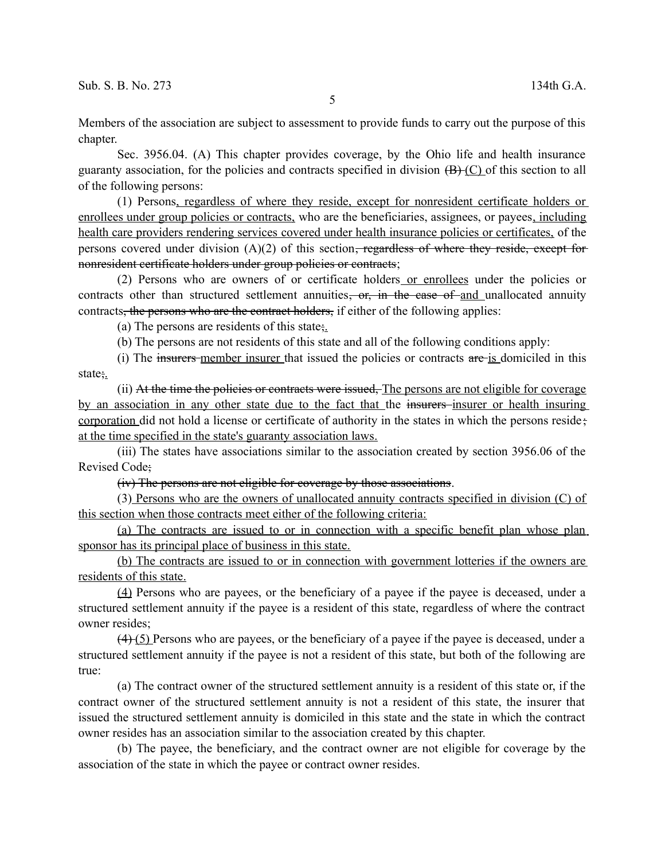5

Members of the association are subject to assessment to provide funds to carry out the purpose of this chapter.

Sec. 3956.04. (A) This chapter provides coverage, by the Ohio life and health insurance guaranty association, for the policies and contracts specified in division  $(B)$  (C) of this section to all of the following persons:

(1) Persons, regardless of where they reside, except for nonresident certificate holders or enrollees under group policies or contracts, who are the beneficiaries, assignees, or payees, including health care providers rendering services covered under health insurance policies or certificates, of the persons covered under division  $(A)(2)$  of this section<del>, regardless of where they reside, except for</del> nonresident certificate holders under group policies or contracts;

(2) Persons who are owners of or certificate holders or enrollees under the policies or contracts other than structured settlement annuities, or, in the case of and unallocated annuity contracts, the persons who are the contract holders, if either of the following applies:

(a) The persons are residents of this state;

(b) The persons are not residents of this state and all of the following conditions apply:

(i) The insurers member insurer that issued the policies or contracts are is domiciled in this state;.

(ii) At the time the policies or contracts were issued, The persons are not eligible for coverage by an association in any other state due to the fact that the insurers insurer or health insuring corporation did not hold a license or certificate of authority in the states in which the persons reside; at the time specified in the state's guaranty association laws.

(iii) The states have associations similar to the association created by section 3956.06 of the Revised Code;

(iv) The persons are not eligible for coverage by those associations.

(3) Persons who are the owners of unallocated annuity contracts specified in division (C) of this section when those contracts meet either of the following criteria:

(a) The contracts are issued to or in connection with a specific benefit plan whose plan sponsor has its principal place of business in this state.

(b) The contracts are issued to or in connection with government lotteries if the owners are residents of this state.

(4) Persons who are payees, or the beneficiary of a payee if the payee is deceased, under a structured settlement annuity if the payee is a resident of this state, regardless of where the contract owner resides;

 $(4)$  (5) Persons who are payees, or the beneficiary of a payee if the payee is deceased, under a structured settlement annuity if the payee is not a resident of this state, but both of the following are true:

(a) The contract owner of the structured settlement annuity is a resident of this state or, if the contract owner of the structured settlement annuity is not a resident of this state, the insurer that issued the structured settlement annuity is domiciled in this state and the state in which the contract owner resides has an association similar to the association created by this chapter.

(b) The payee, the beneficiary, and the contract owner are not eligible for coverage by the association of the state in which the payee or contract owner resides.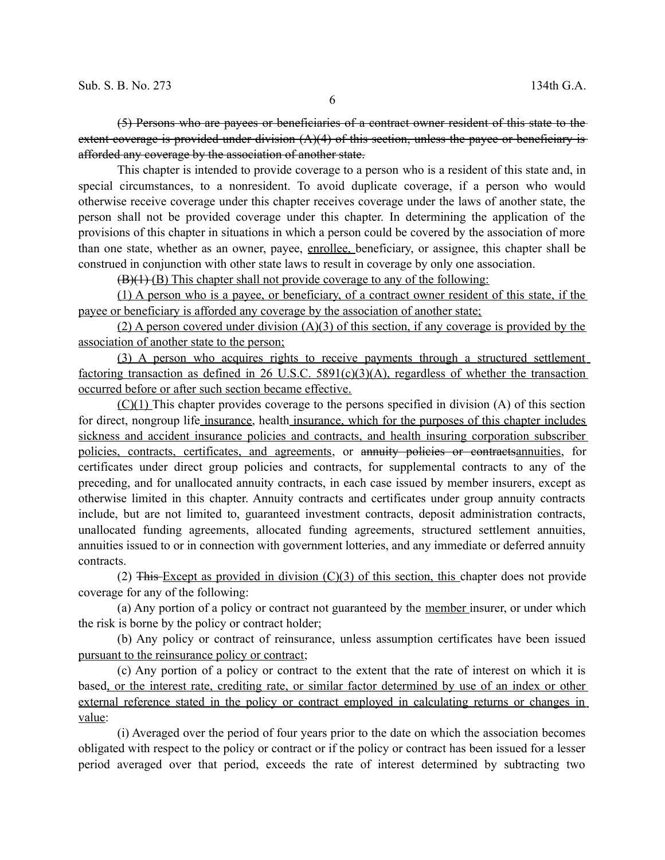(5) Persons who are payees or beneficiaries of a contract owner resident of this state to the extent coverage is provided under division (A)(4) of this section, unless the payee or beneficiary is afforded any coverage by the association of another state.

This chapter is intended to provide coverage to a person who is a resident of this state and, in special circumstances, to a nonresident. To avoid duplicate coverage, if a person who would otherwise receive coverage under this chapter receives coverage under the laws of another state, the person shall not be provided coverage under this chapter. In determining the application of the provisions of this chapter in situations in which a person could be covered by the association of more than one state, whether as an owner, payee, enrollee, beneficiary, or assignee, this chapter shall be construed in conjunction with other state laws to result in coverage by only one association.

 $(B)(1)$  (B) This chapter shall not provide coverage to any of the following:

(1) A person who is a payee, or beneficiary, of a contract owner resident of this state, if the payee or beneficiary is afforded any coverage by the association of another state;

(2) A person covered under division  $(A)(3)$  of this section, if any coverage is provided by the association of another state to the person;

(3) A person who acquires rights to receive payments through a structured settlement factoring transaction as defined in 26 U.S.C. 5891(c)(3)(A), regardless of whether the transaction occurred before or after such section became effective.

 $(C)(1)$  This chapter provides coverage to the persons specified in division (A) of this section for direct, nongroup life insurance, health insurance, which for the purposes of this chapter includes sickness and accident insurance policies and contracts, and health insuring corporation subscriber policies, contracts, certificates, and agreements, or annuity policies or contractsannuities, for certificates under direct group policies and contracts, for supplemental contracts to any of the preceding, and for unallocated annuity contracts, in each case issued by member insurers, except as otherwise limited in this chapter. Annuity contracts and certificates under group annuity contracts include, but are not limited to, guaranteed investment contracts, deposit administration contracts, unallocated funding agreements, allocated funding agreements, structured settlement annuities, annuities issued to or in connection with government lotteries, and any immediate or deferred annuity contracts.

(2) This Except as provided in division  $(C)(3)$  of this section, this chapter does not provide coverage for any of the following:

(a) Any portion of a policy or contract not guaranteed by the member insurer, or under which the risk is borne by the policy or contract holder;

(b) Any policy or contract of reinsurance, unless assumption certificates have been issued pursuant to the reinsurance policy or contract;

(c) Any portion of a policy or contract to the extent that the rate of interest on which it is based, or the interest rate, crediting rate, or similar factor determined by use of an index or other external reference stated in the policy or contract employed in calculating returns or changes in value:

(i) Averaged over the period of four years prior to the date on which the association becomes obligated with respect to the policy or contract or if the policy or contract has been issued for a lesser period averaged over that period, exceeds the rate of interest determined by subtracting two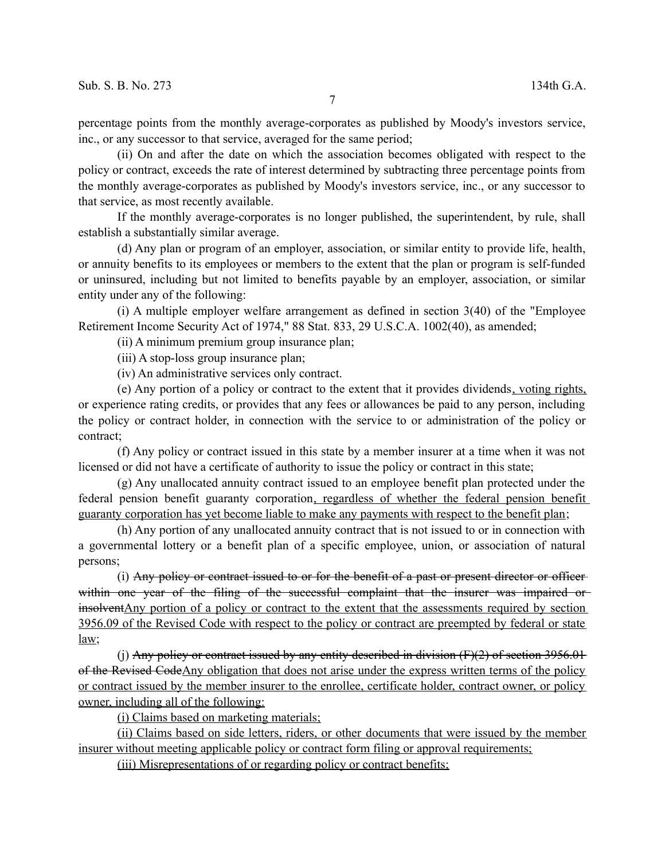percentage points from the monthly average-corporates as published by Moody's investors service, inc., or any successor to that service, averaged for the same period;

(ii) On and after the date on which the association becomes obligated with respect to the policy or contract, exceeds the rate of interest determined by subtracting three percentage points from the monthly average-corporates as published by Moody's investors service, inc., or any successor to that service, as most recently available.

If the monthly average-corporates is no longer published, the superintendent, by rule, shall establish a substantially similar average.

(d) Any plan or program of an employer, association, or similar entity to provide life, health, or annuity benefits to its employees or members to the extent that the plan or program is self-funded or uninsured, including but not limited to benefits payable by an employer, association, or similar entity under any of the following:

(i) A multiple employer welfare arrangement as defined in section 3(40) of the "Employee Retirement Income Security Act of 1974," 88 Stat. 833, 29 U.S.C.A. 1002(40), as amended;

(ii) A minimum premium group insurance plan;

(iii) A stop-loss group insurance plan;

(iv) An administrative services only contract.

(e) Any portion of a policy or contract to the extent that it provides dividends, voting rights, or experience rating credits, or provides that any fees or allowances be paid to any person, including the policy or contract holder, in connection with the service to or administration of the policy or contract;

(f) Any policy or contract issued in this state by a member insurer at a time when it was not licensed or did not have a certificate of authority to issue the policy or contract in this state;

(g) Any unallocated annuity contract issued to an employee benefit plan protected under the federal pension benefit guaranty corporation, regardless of whether the federal pension benefit guaranty corporation has yet become liable to make any payments with respect to the benefit plan;

(h) Any portion of any unallocated annuity contract that is not issued to or in connection with a governmental lottery or a benefit plan of a specific employee, union, or association of natural persons;

(i) Any policy or contract issued to or for the benefit of a past or present director or officer within one year of the filing of the successful complaint that the insurer was impaired or insolventAny portion of a policy or contract to the extent that the assessments required by section 3956.09 of the Revised Code with respect to the policy or contract are preempted by federal or state law;

(j) Any policy or contract issued by any entity described in division  $(F)(2)$  of section 3956.01 of the Revised CodeAny obligation that does not arise under the express written terms of the policy or contract issued by the member insurer to the enrollee, certificate holder, contract owner, or policy owner, including all of the following:

(i) Claims based on marketing materials;

 (ii) Claims based on side letters, riders, or other documents that were issued by the member insurer without meeting applicable policy or contract form filing or approval requirements;

(iii) Misrepresentations of or regarding policy or contract benefits;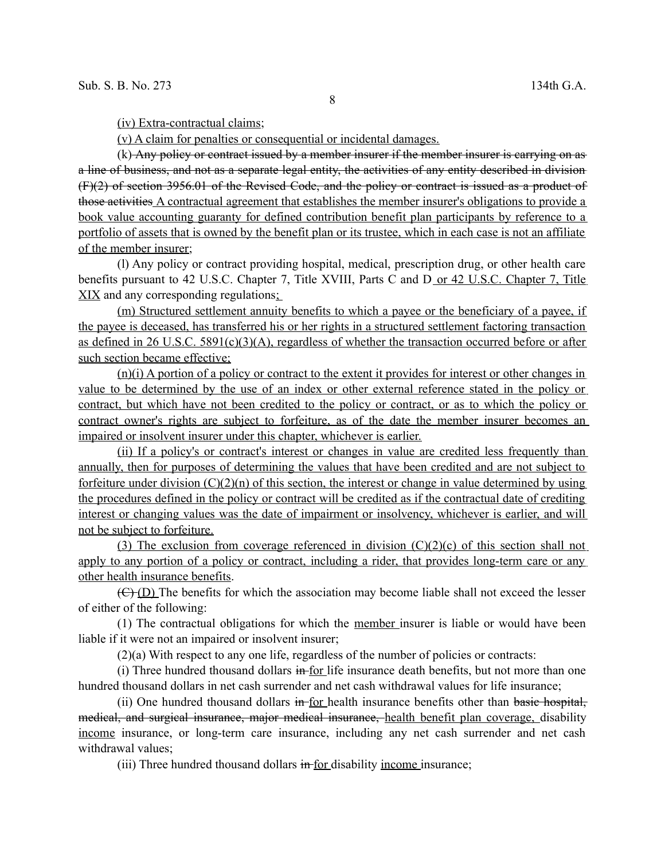(iv) Extra-contractual claims;

(v) A claim for penalties or consequential or incidental damages.

 $(k)$  Any policy or contract issued by a member insurer if the member insurer is carrying on as a line of business, and not as a separate legal entity, the activities of any entity described in division (F)(2) of section 3956.01 of the Revised Code, and the policy or contract is issued as a product of those activities A contractual agreement that establishes the member insurer's obligations to provide a book value accounting guaranty for defined contribution benefit plan participants by reference to a portfolio of assets that is owned by the benefit plan or its trustee, which in each case is not an affiliate of the member insurer;

(l) Any policy or contract providing hospital, medical, prescription drug, or other health care benefits pursuant to 42 U.S.C. Chapter 7, Title XVIII, Parts C and D or 42 U.S.C. Chapter 7, Title XIX and any corresponding regulations;

(m) Structured settlement annuity benefits to which a payee or the beneficiary of a payee, if the payee is deceased, has transferred his or her rights in a structured settlement factoring transaction as defined in 26 U.S.C.  $5891(c)(3)(A)$ , regardless of whether the transaction occurred before or after such section became effective;

(n)(i) A portion of a policy or contract to the extent it provides for interest or other changes in value to be determined by the use of an index or other external reference stated in the policy or contract, but which have not been credited to the policy or contract, or as to which the policy or contract owner's rights are subject to forfeiture, as of the date the member insurer becomes an impaired or insolvent insurer under this chapter, whichever is earlier.

(ii) If a policy's or contract's interest or changes in value are credited less frequently than annually, then for purposes of determining the values that have been credited and are not subject to forfeiture under division  $(C)(2)(n)$  of this section, the interest or change in value determined by using the procedures defined in the policy or contract will be credited as if the contractual date of crediting interest or changing values was the date of impairment or insolvency, whichever is earlier, and will not be subject to forfeiture.

(3) The exclusion from coverage referenced in division  $(C)(2)(c)$  of this section shall not apply to any portion of a policy or contract, including a rider, that provides long-term care or any other health insurance benefits.

 $(E)(D)$  The benefits for which the association may become liable shall not exceed the lesser of either of the following:

(1) The contractual obligations for which the member insurer is liable or would have been liable if it were not an impaired or insolvent insurer;

(2)(a) With respect to any one life, regardless of the number of policies or contracts:

(i) Three hundred thousand dollars in for life insurance death benefits, but not more than one hundred thousand dollars in net cash surrender and net cash withdrawal values for life insurance;

(ii) One hundred thousand dollars in for health insurance benefits other than basic hospital, medical, and surgical insurance, major medical insurance, health benefit plan coverage, disability income insurance, or long-term care insurance, including any net cash surrender and net cash withdrawal values;

(iii) Three hundred thousand dollars in for disability income insurance;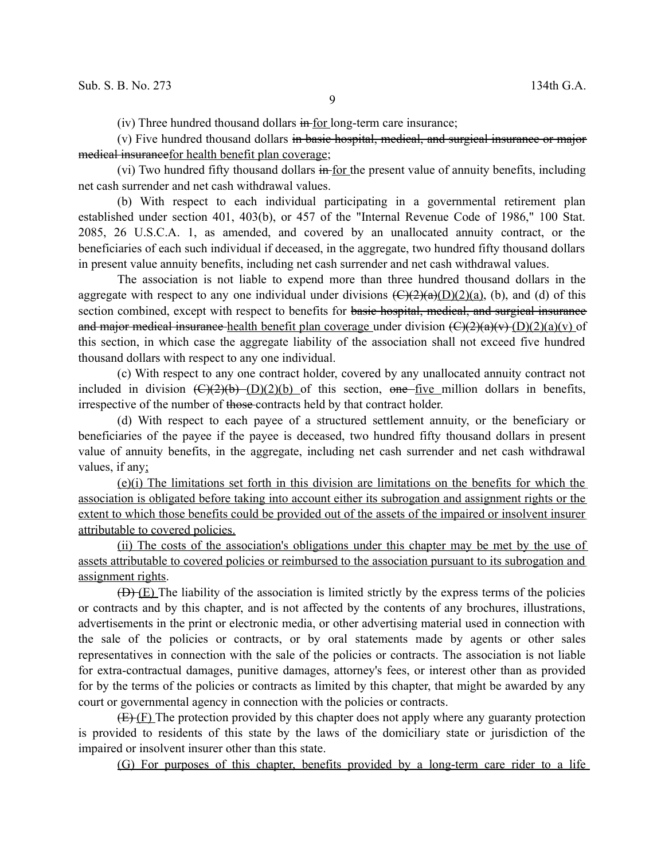$(iv)$  Three hundred thousand dollars  $\frac{1}{2}$  for long-term care insurance;

(v) Five hundred thousand dollars in basic hospital, medical, and surgical insurance or major medical insurancefor health benefit plan coverage;

(vi) Two hundred fifty thousand dollars  $\frac{1}{2}$  for the present value of annuity benefits, including net cash surrender and net cash withdrawal values.

(b) With respect to each individual participating in a governmental retirement plan established under section 401, 403(b), or 457 of the "Internal Revenue Code of 1986," 100 Stat. 2085, 26 U.S.C.A. 1, as amended, and covered by an unallocated annuity contract, or the beneficiaries of each such individual if deceased, in the aggregate, two hundred fifty thousand dollars in present value annuity benefits, including net cash surrender and net cash withdrawal values.

The association is not liable to expend more than three hundred thousand dollars in the aggregate with respect to any one individual under divisions  $\left(\frac{C}{2}(a)(D)(2)(a), (b), \text{ and } (d)\right)$  of this section combined, except with respect to benefits for basic hospital, medical, and surgical insurance and major medical insurance health benefit plan coverage under division  $(\mathcal{C})(2)(a)(v)$  (of  $\mathcal{C}$ )(2)(a)(v) of this section, in which case the aggregate liability of the association shall not exceed five hundred thousand dollars with respect to any one individual.

(c) With respect to any one contract holder, covered by any unallocated annuity contract not included in division  $(\text{C})(2)(\text{b})$  (D)(2)(b) of this section, one five million dollars in benefits, irrespective of the number of those contracts held by that contract holder.

(d) With respect to each payee of a structured settlement annuity, or the beneficiary or beneficiaries of the payee if the payee is deceased, two hundred fifty thousand dollars in present value of annuity benefits, in the aggregate, including net cash surrender and net cash withdrawal values, if any;

(e)(i) The limitations set forth in this division are limitations on the benefits for which the association is obligated before taking into account either its subrogation and assignment rights or the extent to which those benefits could be provided out of the assets of the impaired or insolvent insurer attributable to covered policies.

(ii) The costs of the association's obligations under this chapter may be met by the use of assets attributable to covered policies or reimbursed to the association pursuant to its subrogation and assignment rights.

 $(\bigoplus)(E)$  The liability of the association is limited strictly by the express terms of the policies or contracts and by this chapter, and is not affected by the contents of any brochures, illustrations, advertisements in the print or electronic media, or other advertising material used in connection with the sale of the policies or contracts, or by oral statements made by agents or other sales representatives in connection with the sale of the policies or contracts. The association is not liable for extra-contractual damages, punitive damages, attorney's fees, or interest other than as provided for by the terms of the policies or contracts as limited by this chapter, that might be awarded by any court or governmental agency in connection with the policies or contracts.

 $(E)(F)$  The protection provided by this chapter does not apply where any guaranty protection is provided to residents of this state by the laws of the domiciliary state or jurisdiction of the impaired or insolvent insurer other than this state.

(G) For purposes of this chapter, benefits provided by a long-term care rider to a life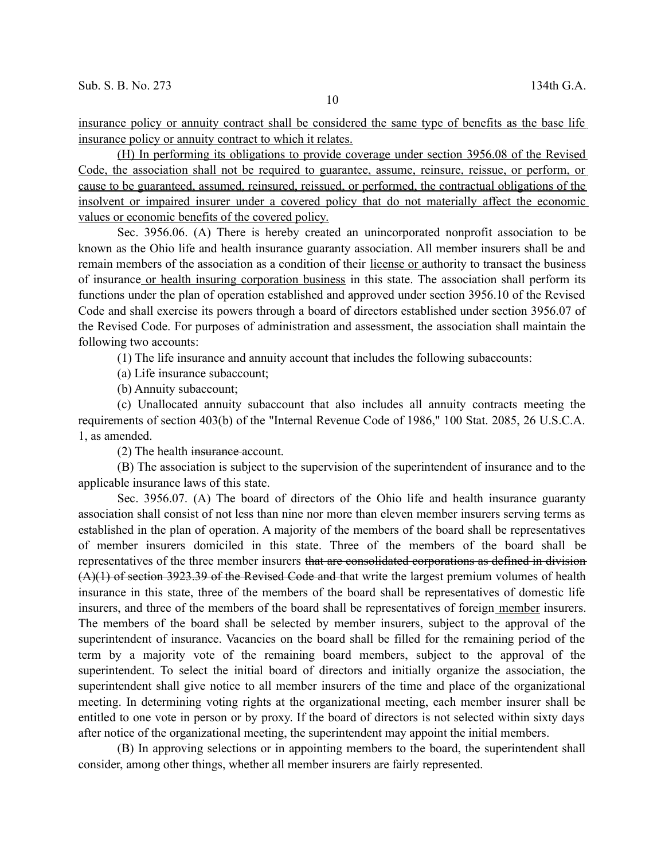insurance policy or annuity contract shall be considered the same type of benefits as the base life insurance policy or annuity contract to which it relates.

(H) In performing its obligations to provide coverage under section 3956.08 of the Revised Code, the association shall not be required to guarantee, assume, reinsure, reissue, or perform, or cause to be guaranteed, assumed, reinsured, reissued, or performed, the contractual obligations of the insolvent or impaired insurer under a covered policy that do not materially affect the economic values or economic benefits of the covered policy.

Sec. 3956.06. (A) There is hereby created an unincorporated nonprofit association to be known as the Ohio life and health insurance guaranty association. All member insurers shall be and remain members of the association as a condition of their license or authority to transact the business of insurance or health insuring corporation business in this state. The association shall perform its functions under the plan of operation established and approved under section 3956.10 of the Revised Code and shall exercise its powers through a board of directors established under section 3956.07 of the Revised Code. For purposes of administration and assessment, the association shall maintain the following two accounts:

(1) The life insurance and annuity account that includes the following subaccounts:

(a) Life insurance subaccount;

(b) Annuity subaccount;

(c) Unallocated annuity subaccount that also includes all annuity contracts meeting the requirements of section 403(b) of the "Internal Revenue Code of 1986," 100 Stat. 2085, 26 U.S.C.A. 1, as amended.

(2) The health insurance account.

(B) The association is subject to the supervision of the superintendent of insurance and to the applicable insurance laws of this state.

Sec. 3956.07. (A) The board of directors of the Ohio life and health insurance guaranty association shall consist of not less than nine nor more than eleven member insurers serving terms as established in the plan of operation. A majority of the members of the board shall be representatives of member insurers domiciled in this state. Three of the members of the board shall be representatives of the three member insurers that are consolidated corporations as defined in division (A)(1) of section 3923.39 of the Revised Code and that write the largest premium volumes of health insurance in this state, three of the members of the board shall be representatives of domestic life insurers, and three of the members of the board shall be representatives of foreign member insurers. The members of the board shall be selected by member insurers, subject to the approval of the superintendent of insurance. Vacancies on the board shall be filled for the remaining period of the term by a majority vote of the remaining board members, subject to the approval of the superintendent. To select the initial board of directors and initially organize the association, the superintendent shall give notice to all member insurers of the time and place of the organizational meeting. In determining voting rights at the organizational meeting, each member insurer shall be entitled to one vote in person or by proxy. If the board of directors is not selected within sixty days after notice of the organizational meeting, the superintendent may appoint the initial members.

(B) In approving selections or in appointing members to the board, the superintendent shall consider, among other things, whether all member insurers are fairly represented.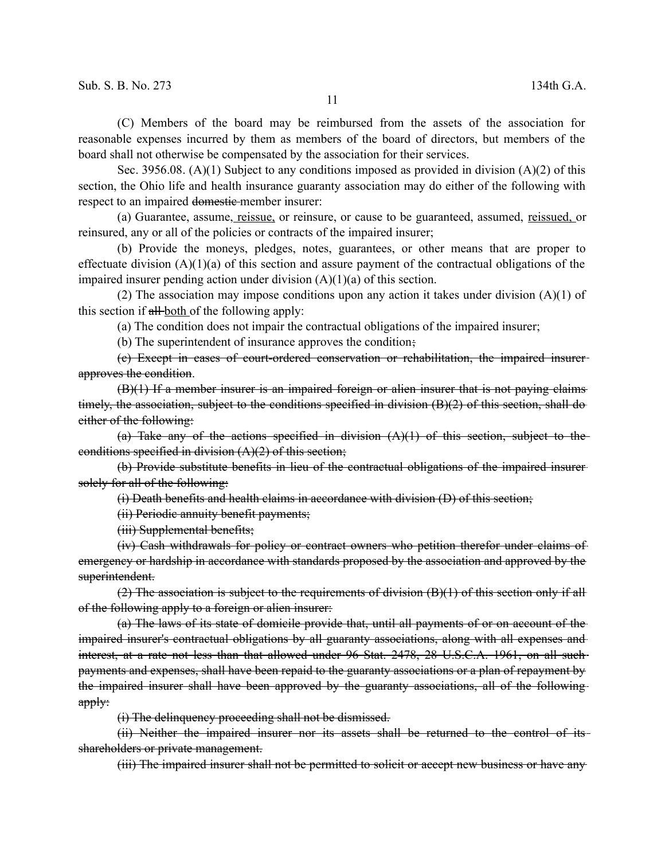(C) Members of the board may be reimbursed from the assets of the association for reasonable expenses incurred by them as members of the board of directors, but members of the board shall not otherwise be compensated by the association for their services.

Sec. 3956.08. (A)(1) Subject to any conditions imposed as provided in division (A)(2) of this section, the Ohio life and health insurance guaranty association may do either of the following with respect to an impaired domestic member insurer:

(a) Guarantee, assume, reissue, or reinsure, or cause to be guaranteed, assumed, reissued, or reinsured, any or all of the policies or contracts of the impaired insurer;

(b) Provide the moneys, pledges, notes, guarantees, or other means that are proper to effectuate division  $(A)(1)(a)$  of this section and assure payment of the contractual obligations of the impaired insurer pending action under division  $(A)(1)(a)$  of this section.

(2) The association may impose conditions upon any action it takes under division  $(A)(1)$  of this section if all-both of the following apply:

(a) The condition does not impair the contractual obligations of the impaired insurer;

(b) The superintendent of insurance approves the condition;

(c) Except in cases of court-ordered conservation or rehabilitation, the impaired insurer approves the condition.

(B)(1) If a member insurer is an impaired foreign or alien insurer that is not paying claims timely, the association, subject to the conditions specified in division  $(B)(2)$  of this section, shall do either of the following:

(a) Take any of the actions specified in division  $(A)(1)$  of this section, subject to the conditions specified in division  $(A)(2)$  of this section;

(b) Provide substitute benefits in lieu of the contractual obligations of the impaired insurer solely for all of the following:

(i) Death benefits and health claims in accordance with division (D) of this section;

(ii) Periodic annuity benefit payments;

(iii) Supplemental benefits;

(iv) Cash withdrawals for policy or contract owners who petition therefor under claims of emergency or hardship in accordance with standards proposed by the association and approved by the superintendent.

(2) The association is subject to the requirements of division  $(B)(1)$  of this section only if all of the following apply to a foreign or alien insurer:

(a) The laws of its state of domicile provide that, until all payments of or on account of the impaired insurer's contractual obligations by all guaranty associations, along with all expenses and interest, at a rate not less than that allowed under 96 Stat. 2478, 28 U.S.C.A. 1961, on all such payments and expenses, shall have been repaid to the guaranty associations or a plan of repayment by the impaired insurer shall have been approved by the guaranty associations, all of the following apply:

(i) The delinquency proceeding shall not be dismissed.

(ii) Neither the impaired insurer nor its assets shall be returned to the control of its shareholders or private management.

(iii) The impaired insurer shall not be permitted to solicit or accept new business or have any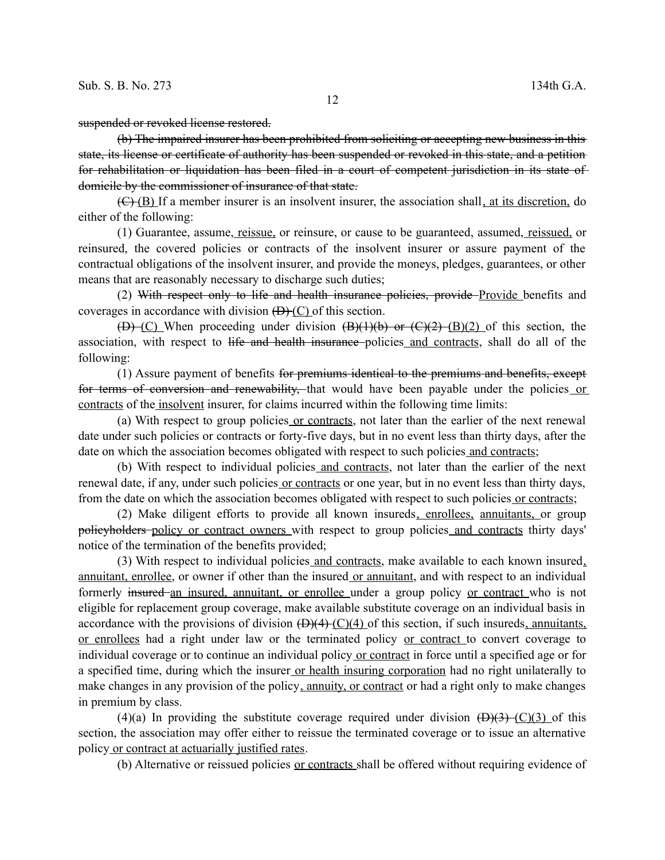suspended or revoked license restored.

(b) The impaired insurer has been prohibited from soliciting or accepting new business in this state, its license or certificate of authority has been suspended or revoked in this state, and a petition for rehabilitation or liquidation has been filed in a court of competent jurisdiction in its state of domicile by the commissioner of insurance of that state.

 $(E)(B)$  If a member insurer is an insolvent insurer, the association shall, at its discretion, do either of the following:

(1) Guarantee, assume, reissue, or reinsure, or cause to be guaranteed, assumed, reissued, or reinsured, the covered policies or contracts of the insolvent insurer or assure payment of the contractual obligations of the insolvent insurer, and provide the moneys, pledges, guarantees, or other means that are reasonably necessary to discharge such duties;

(2) With respect only to life and health insurance policies, provide Provide benefits and coverages in accordance with division  $(D)(C)$  of this section.

 $(D)$  (C) When proceeding under division  $(B)(1)(b)$  or  $(C)(2)$  (B)(2) of this section, the association, with respect to life and health insurance policies and contracts, shall do all of the following:

(1) Assure payment of benefits for premiums identical to the premiums and benefits, except for terms of conversion and renewability, that would have been payable under the policies or contracts of the insolvent insurer, for claims incurred within the following time limits:

(a) With respect to group policies or contracts, not later than the earlier of the next renewal date under such policies or contracts or forty-five days, but in no event less than thirty days, after the date on which the association becomes obligated with respect to such policies and contracts;

(b) With respect to individual policies and contracts, not later than the earlier of the next renewal date, if any, under such policies or contracts or one year, but in no event less than thirty days, from the date on which the association becomes obligated with respect to such policies or contracts;

(2) Make diligent efforts to provide all known insureds, enrollees, annuitants, or group policyholders policy or contract owners with respect to group policies and contracts thirty days' notice of the termination of the benefits provided;

(3) With respect to individual policies and contracts, make available to each known insured, annuitant, enrollee, or owner if other than the insured or annuitant, and with respect to an individual formerly insured an insured, annuitant, or enrollee under a group policy or contract who is not eligible for replacement group coverage, make available substitute coverage on an individual basis in accordance with the provisions of division  $(\frac{D}{4}(\frac{C}{4})$  of this section, if such insureds, annuitants, or enrollees had a right under law or the terminated policy or contract to convert coverage to individual coverage or to continue an individual policy or contract in force until a specified age or for a specified time, during which the insurer or health insuring corporation had no right unilaterally to make changes in any provision of the policy, annuity, or contract or had a right only to make changes in premium by class.

(4)(a) In providing the substitute coverage required under division  $(\overrightarrow{D})(3)$  (C)(3) of this section, the association may offer either to reissue the terminated coverage or to issue an alternative policy or contract at actuarially justified rates.

(b) Alternative or reissued policies or contracts shall be offered without requiring evidence of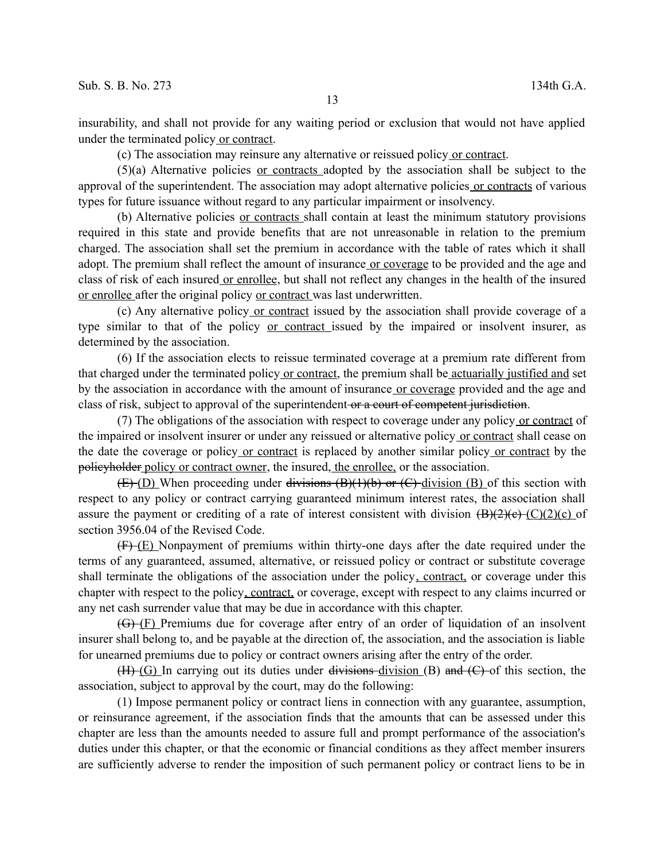insurability, and shall not provide for any waiting period or exclusion that would not have applied under the terminated policy or contract.

(c) The association may reinsure any alternative or reissued policy or contract.

(5)(a) Alternative policies or contracts adopted by the association shall be subject to the approval of the superintendent. The association may adopt alternative policies or contracts of various types for future issuance without regard to any particular impairment or insolvency.

(b) Alternative policies or contracts shall contain at least the minimum statutory provisions required in this state and provide benefits that are not unreasonable in relation to the premium charged. The association shall set the premium in accordance with the table of rates which it shall adopt. The premium shall reflect the amount of insurance or coverage to be provided and the age and class of risk of each insured or enrollee, but shall not reflect any changes in the health of the insured or enrollee after the original policy or contract was last underwritten.

(c) Any alternative policy or contract issued by the association shall provide coverage of a type similar to that of the policy or contract issued by the impaired or insolvent insurer, as determined by the association.

(6) If the association elects to reissue terminated coverage at a premium rate different from that charged under the terminated policy or contract, the premium shall be actuarially justified and set by the association in accordance with the amount of insurance or coverage provided and the age and class of risk, subject to approval of the superintendent or a court of competent jurisdiction.

(7) The obligations of the association with respect to coverage under any policy or contract of the impaired or insolvent insurer or under any reissued or alternative policy or contract shall cease on the date the coverage or policy or contract is replaced by another similar policy or contract by the policyholder policy or contract owner, the insured, the enrollee, or the association.

 $(E)$  (D) When proceeding under divisions  $(B)(1)(b)$  or  $(C)$  division  $(B)$  of this section with respect to any policy or contract carrying guaranteed minimum interest rates, the association shall assure the payment or crediting of a rate of interest consistent with division  $(\overline{B})(2)(e)$  (C)(2)(c) of section 3956.04 of the Revised Code.

(F) (E) Nonpayment of premiums within thirty-one days after the date required under the terms of any guaranteed, assumed, alternative, or reissued policy or contract or substitute coverage shall terminate the obligations of the association under the policy, contract, or coverage under this chapter with respect to the policy, contract, or coverage, except with respect to any claims incurred or any net cash surrender value that may be due in accordance with this chapter.

(G) (F) Premiums due for coverage after entry of an order of liquidation of an insolvent insurer shall belong to, and be payable at the direction of, the association, and the association is liable for unearned premiums due to policy or contract owners arising after the entry of the order.

 $(H<sup>+</sup>)$  (G) In carrying out its duties under divisions-division (B) and (C) of this section, the association, subject to approval by the court, may do the following:

(1) Impose permanent policy or contract liens in connection with any guarantee, assumption, or reinsurance agreement, if the association finds that the amounts that can be assessed under this chapter are less than the amounts needed to assure full and prompt performance of the association's duties under this chapter, or that the economic or financial conditions as they affect member insurers are sufficiently adverse to render the imposition of such permanent policy or contract liens to be in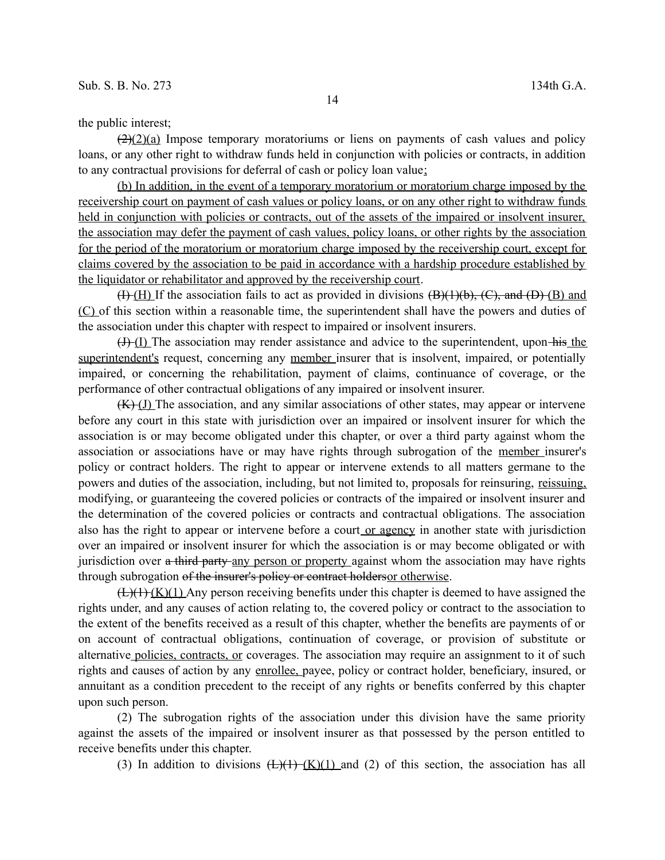$(2)(2)(a)$  Impose temporary moratoriums or liens on payments of cash values and policy loans, or any other right to withdraw funds held in conjunction with policies or contracts, in addition to any contractual provisions for deferral of cash or policy loan value;

(b) In addition, in the event of a temporary moratorium or moratorium charge imposed by the receivership court on payment of cash values or policy loans, or on any other right to withdraw funds held in conjunction with policies or contracts, out of the assets of the impaired or insolvent insurer, the association may defer the payment of cash values, policy loans, or other rights by the association for the period of the moratorium or moratorium charge imposed by the receivership court, except for claims covered by the association to be paid in accordance with a hardship procedure established by the liquidator or rehabilitator and approved by the receivership court.

 $(H)$  (H) If the association fails to act as provided in divisions  $(B)(1)(b)$ ,  $(C)$ , and  $(D)$  (B) and (C) of this section within a reasonable time, the superintendent shall have the powers and duties of the association under this chapter with respect to impaired or insolvent insurers.

 $(+)$  (I) The association may render assistance and advice to the superintendent, upon his the superintendent's request, concerning any member insurer that is insolvent, impaired, or potentially impaired, or concerning the rehabilitation, payment of claims, continuance of coverage, or the performance of other contractual obligations of any impaired or insolvent insurer.

 $(K)-J$ ) The association, and any similar associations of other states, may appear or intervene before any court in this state with jurisdiction over an impaired or insolvent insurer for which the association is or may become obligated under this chapter, or over a third party against whom the association or associations have or may have rights through subrogation of the member insurer's policy or contract holders. The right to appear or intervene extends to all matters germane to the powers and duties of the association, including, but not limited to, proposals for reinsuring, reissuing, modifying, or guaranteeing the covered policies or contracts of the impaired or insolvent insurer and the determination of the covered policies or contracts and contractual obligations. The association also has the right to appear or intervene before a court or agency in another state with jurisdiction over an impaired or insolvent insurer for which the association is or may become obligated or with jurisdiction over a third party any person or property against whom the association may have rights through subrogation of the insurer's policy or contract holdersor otherwise.

 $(\pm)(1)$  (K)(1) Any person receiving benefits under this chapter is deemed to have assigned the rights under, and any causes of action relating to, the covered policy or contract to the association to the extent of the benefits received as a result of this chapter, whether the benefits are payments of or on account of contractual obligations, continuation of coverage, or provision of substitute or alternative policies, contracts, or coverages. The association may require an assignment to it of such rights and causes of action by any enrollee, payee, policy or contract holder, beneficiary, insured, or annuitant as a condition precedent to the receipt of any rights or benefits conferred by this chapter upon such person.

(2) The subrogation rights of the association under this division have the same priority against the assets of the impaired or insolvent insurer as that possessed by the person entitled to receive benefits under this chapter.

(3) In addition to divisions  $(\frac{L}{(1)}(\frac{K}{1})$  and (2) of this section, the association has all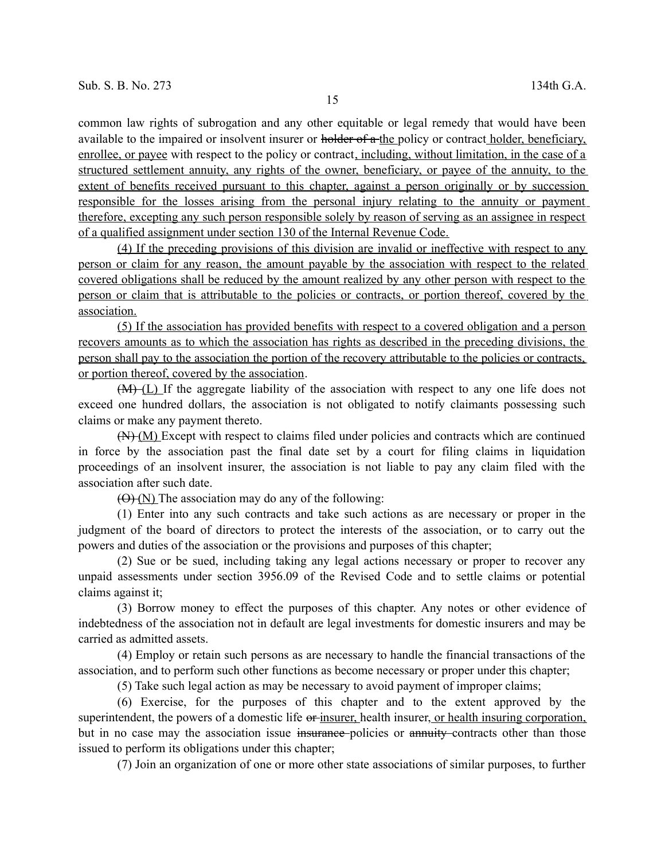common law rights of subrogation and any other equitable or legal remedy that would have been available to the impaired or insolvent insurer or holder of a the policy or contract holder, beneficiary, enrollee, or payee with respect to the policy or contract, including, without limitation, in the case of a structured settlement annuity, any rights of the owner, beneficiary, or payee of the annuity, to the extent of benefits received pursuant to this chapter, against a person originally or by succession responsible for the losses arising from the personal injury relating to the annuity or payment therefore, excepting any such person responsible solely by reason of serving as an assignee in respect of a qualified assignment under section 130 of the Internal Revenue Code.

(4) If the preceding provisions of this division are invalid or ineffective with respect to any person or claim for any reason, the amount payable by the association with respect to the related covered obligations shall be reduced by the amount realized by any other person with respect to the person or claim that is attributable to the policies or contracts, or portion thereof, covered by the association.

(5) If the association has provided benefits with respect to a covered obligation and a person recovers amounts as to which the association has rights as described in the preceding divisions, the person shall pay to the association the portion of the recovery attributable to the policies or contracts, or portion thereof, covered by the association.

(M) (L) If the aggregate liability of the association with respect to any one life does not exceed one hundred dollars, the association is not obligated to notify claimants possessing such claims or make any payment thereto.

(N) (M) Except with respect to claims filed under policies and contracts which are continued in force by the association past the final date set by a court for filing claims in liquidation proceedings of an insolvent insurer, the association is not liable to pay any claim filed with the association after such date.

 $(\Theta)$  (N) The association may do any of the following:

(1) Enter into any such contracts and take such actions as are necessary or proper in the judgment of the board of directors to protect the interests of the association, or to carry out the powers and duties of the association or the provisions and purposes of this chapter;

(2) Sue or be sued, including taking any legal actions necessary or proper to recover any unpaid assessments under section 3956.09 of the Revised Code and to settle claims or potential claims against it;

(3) Borrow money to effect the purposes of this chapter. Any notes or other evidence of indebtedness of the association not in default are legal investments for domestic insurers and may be carried as admitted assets.

(4) Employ or retain such persons as are necessary to handle the financial transactions of the association, and to perform such other functions as become necessary or proper under this chapter;

(5) Take such legal action as may be necessary to avoid payment of improper claims;

(6) Exercise, for the purposes of this chapter and to the extent approved by the superintendent, the powers of a domestic life or insurer, health insurer, or health insuring corporation, but in no case may the association issue insurance policies or annuity contracts other than those issued to perform its obligations under this chapter;

(7) Join an organization of one or more other state associations of similar purposes, to further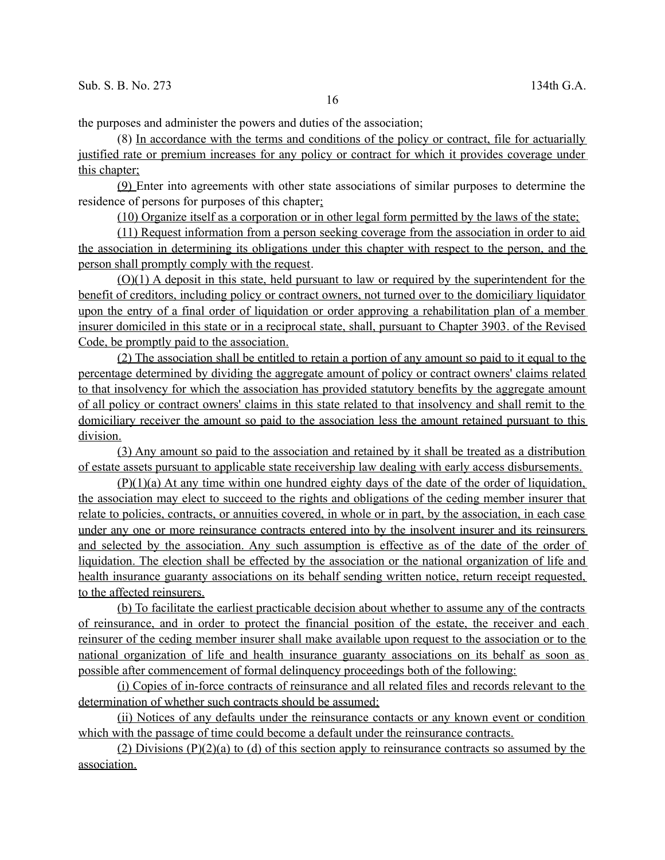the purposes and administer the powers and duties of the association;

(8) In accordance with the terms and conditions of the policy or contract, file for actuarially justified rate or premium increases for any policy or contract for which it provides coverage under this chapter;

(9) Enter into agreements with other state associations of similar purposes to determine the residence of persons for purposes of this chapter;

(10) Organize itself as a corporation or in other legal form permitted by the laws of the state;

(11) Request information from a person seeking coverage from the association in order to aid the association in determining its obligations under this chapter with respect to the person, and the person shall promptly comply with the request.

(O)(1) A deposit in this state, held pursuant to law or required by the superintendent for the benefit of creditors, including policy or contract owners, not turned over to the domiciliary liquidator upon the entry of a final order of liquidation or order approving a rehabilitation plan of a member insurer domiciled in this state or in a reciprocal state, shall, pursuant to Chapter 3903. of the Revised Code, be promptly paid to the association.

(2) The association shall be entitled to retain a portion of any amount so paid to it equal to the percentage determined by dividing the aggregate amount of policy or contract owners' claims related to that insolvency for which the association has provided statutory benefits by the aggregate amount of all policy or contract owners' claims in this state related to that insolvency and shall remit to the domiciliary receiver the amount so paid to the association less the amount retained pursuant to this division.

(3) Any amount so paid to the association and retained by it shall be treated as a distribution of estate assets pursuant to applicable state receivership law dealing with early access disbursements.

 $(P)(1)(a)$  At any time within one hundred eighty days of the date of the order of liquidation, the association may elect to succeed to the rights and obligations of the ceding member insurer that relate to policies, contracts, or annuities covered, in whole or in part, by the association, in each case under any one or more reinsurance contracts entered into by the insolvent insurer and its reinsurers and selected by the association. Any such assumption is effective as of the date of the order of liquidation. The election shall be effected by the association or the national organization of life and health insurance guaranty associations on its behalf sending written notice, return receipt requested, to the affected reinsurers.

(b) To facilitate the earliest practicable decision about whether to assume any of the contracts of reinsurance, and in order to protect the financial position of the estate, the receiver and each reinsurer of the ceding member insurer shall make available upon request to the association or to the national organization of life and health insurance guaranty associations on its behalf as soon as possible after commencement of formal delinquency proceedings both of the following:

(i) Copies of in-force contracts of reinsurance and all related files and records relevant to the determination of whether such contracts should be assumed;

(ii) Notices of any defaults under the reinsurance contacts or any known event or condition which with the passage of time could become a default under the reinsurance contracts.

(2) Divisions (P)(2)(a) to (d) of this section apply to reinsurance contracts so assumed by the association.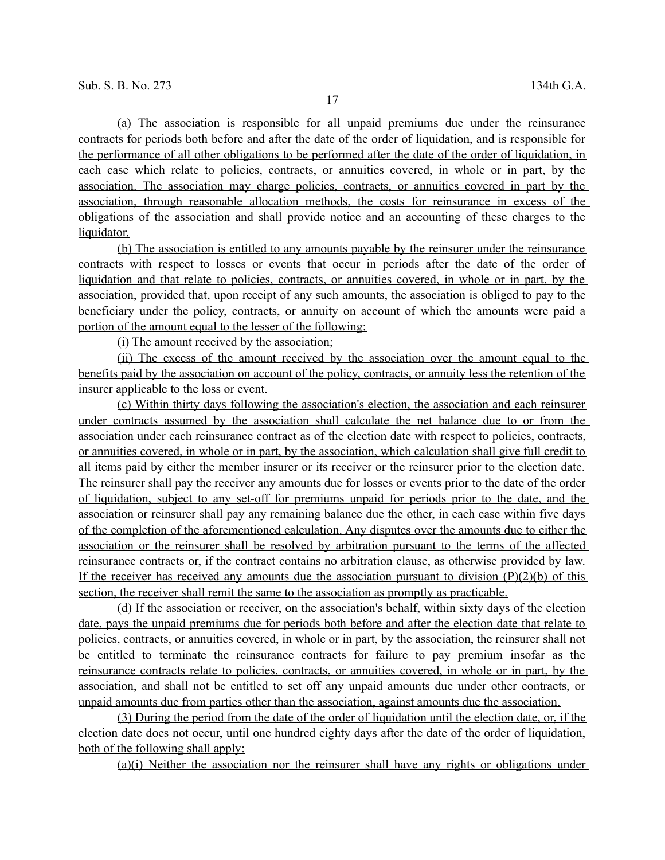(a) The association is responsible for all unpaid premiums due under the reinsurance contracts for periods both before and after the date of the order of liquidation, and is responsible for the performance of all other obligations to be performed after the date of the order of liquidation, in each case which relate to policies, contracts, or annuities covered, in whole or in part, by the association. The association may charge policies, contracts, or annuities covered in part by the association, through reasonable allocation methods, the costs for reinsurance in excess of the obligations of the association and shall provide notice and an accounting of these charges to the liquidator.

(b) The association is entitled to any amounts payable by the reinsurer under the reinsurance contracts with respect to losses or events that occur in periods after the date of the order of liquidation and that relate to policies, contracts, or annuities covered, in whole or in part, by the association, provided that, upon receipt of any such amounts, the association is obliged to pay to the beneficiary under the policy, contracts, or annuity on account of which the amounts were paid a portion of the amount equal to the lesser of the following:

(i) The amount received by the association;

(ii) The excess of the amount received by the association over the amount equal to the benefits paid by the association on account of the policy, contracts, or annuity less the retention of the insurer applicable to the loss or event.

(c) Within thirty days following the association's election, the association and each reinsurer under contracts assumed by the association shall calculate the net balance due to or from the association under each reinsurance contract as of the election date with respect to policies, contracts, or annuities covered, in whole or in part, by the association, which calculation shall give full credit to all items paid by either the member insurer or its receiver or the reinsurer prior to the election date. The reinsurer shall pay the receiver any amounts due for losses or events prior to the date of the order of liquidation, subject to any set-off for premiums unpaid for periods prior to the date, and the association or reinsurer shall pay any remaining balance due the other, in each case within five days of the completion of the aforementioned calculation. Any disputes over the amounts due to either the association or the reinsurer shall be resolved by arbitration pursuant to the terms of the affected reinsurance contracts or, if the contract contains no arbitration clause, as otherwise provided by law. If the receiver has received any amounts due the association pursuant to division  $(P)(2)(b)$  of this section, the receiver shall remit the same to the association as promptly as practicable.

(d) If the association or receiver, on the association's behalf, within sixty days of the election date, pays the unpaid premiums due for periods both before and after the election date that relate to policies, contracts, or annuities covered, in whole or in part, by the association, the reinsurer shall not be entitled to terminate the reinsurance contracts for failure to pay premium insofar as the reinsurance contracts relate to policies, contracts, or annuities covered, in whole or in part, by the association, and shall not be entitled to set off any unpaid amounts due under other contracts, or unpaid amounts due from parties other than the association, against amounts due the association.

 (3) During the period from the date of the order of liquidation until the election date, or, if the election date does not occur, until one hundred eighty days after the date of the order of liquidation, both of the following shall apply:

(a)(i) Neither the association nor the reinsurer shall have any rights or obligations under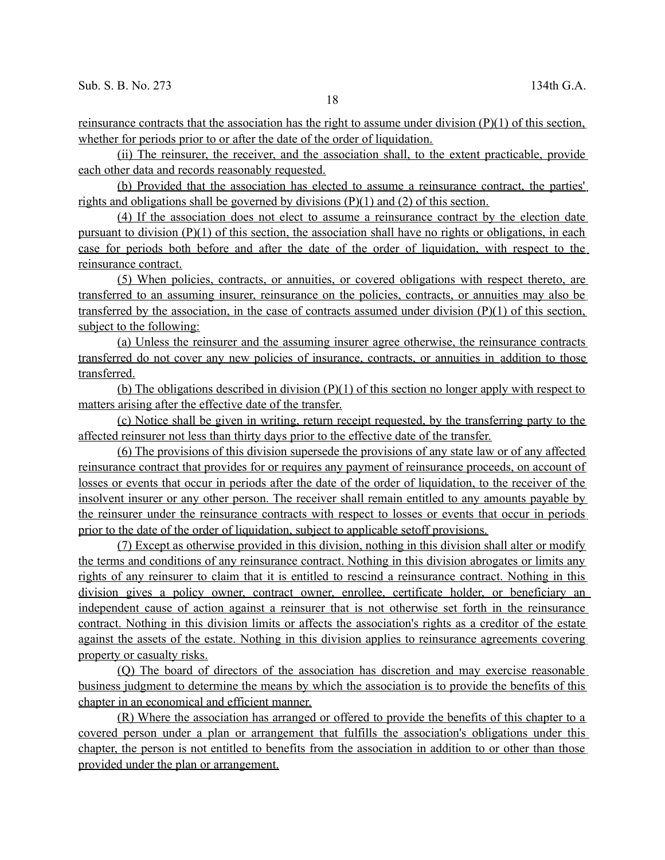reinsurance contracts that the association has the right to assume under division  $(P)(1)$  of this section, whether for periods prior to or after the date of the order of liquidation.

(ii) The reinsurer, the receiver, and the association shall, to the extent practicable, provide each other data and records reasonably requested.

(b) Provided that the association has elected to assume a reinsurance contract, the parties' rights and obligations shall be governed by divisions (P)(1) and (2) of this section.

(4) If the association does not elect to assume a reinsurance contract by the election date pursuant to division (P)(1) of this section, the association shall have no rights or obligations, in each case for periods both before and after the date of the order of liquidation, with respect to the reinsurance contract.

(5) When policies, contracts, or annuities, or covered obligations with respect thereto, are transferred to an assuming insurer, reinsurance on the policies, contracts, or annuities may also be transferred by the association, in the case of contracts assumed under division (P)(1) of this section, subject to the following:

(a) Unless the reinsurer and the assuming insurer agree otherwise, the reinsurance contracts transferred do not cover any new policies of insurance, contracts, or annuities in addition to those transferred.

(b) The obligations described in division (P)(1) of this section no longer apply with respect to matters arising after the effective date of the transfer.

(c) Notice shall be given in writing, return receipt requested, by the transferring party to the affected reinsurer not less than thirty days prior to the effective date of the transfer.

(6) The provisions of this division supersede the provisions of any state law or of any affected reinsurance contract that provides for or requires any payment of reinsurance proceeds, on account of losses or events that occur in periods after the date of the order of liquidation, to the receiver of the insolvent insurer or any other person. The receiver shall remain entitled to any amounts payable by the reinsurer under the reinsurance contracts with respect to losses or events that occur in periods prior to the date of the order of liquidation, subject to applicable setoff provisions.

(7) Except as otherwise provided in this division, nothing in this division shall alter or modify the terms and conditions of any reinsurance contract. Nothing in this division abrogates or limits any rights of any reinsurer to claim that it is entitled to rescind a reinsurance contract. Nothing in this division gives a policy owner, contract owner, enrollee, certificate holder, or beneficiary an independent cause of action against a reinsurer that is not otherwise set forth in the reinsurance contract. Nothing in this division limits or affects the association's rights as a creditor of the estate against the assets of the estate. Nothing in this division applies to reinsurance agreements covering property or casualty risks.

(Q) The board of directors of the association has discretion and may exercise reasonable business judgment to determine the means by which the association is to provide the benefits of this chapter in an economical and efficient manner.

(R) Where the association has arranged or offered to provide the benefits of this chapter to a covered person under a plan or arrangement that fulfills the association's obligations under this chapter, the person is not entitled to benefits from the association in addition to or other than those provided under the plan or arrangement.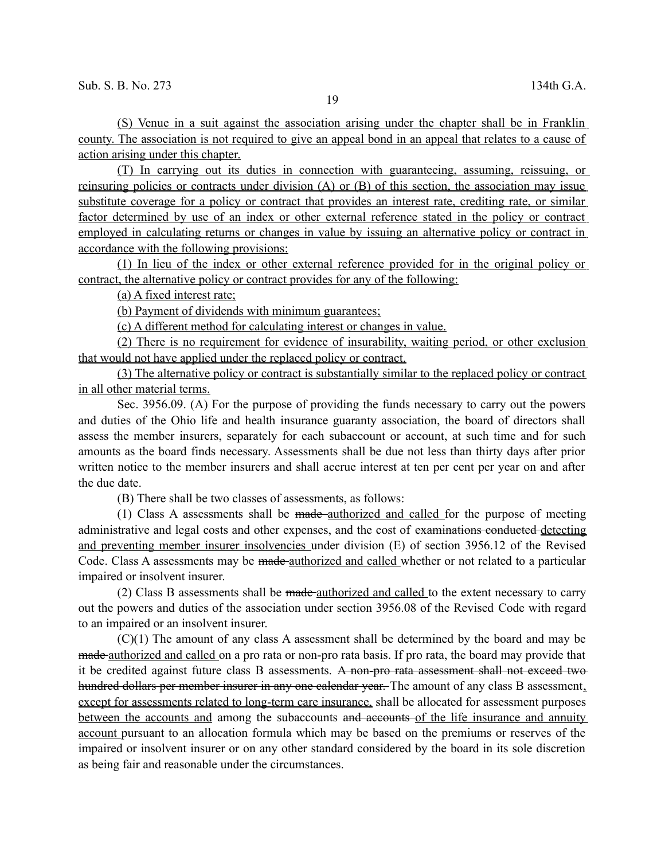(S) Venue in a suit against the association arising under the chapter shall be in Franklin county. The association is not required to give an appeal bond in an appeal that relates to a cause of action arising under this chapter.

(T) In carrying out its duties in connection with guaranteeing, assuming, reissuing, or reinsuring policies or contracts under division (A) or (B) of this section, the association may issue substitute coverage for a policy or contract that provides an interest rate, crediting rate, or similar factor determined by use of an index or other external reference stated in the policy or contract employed in calculating returns or changes in value by issuing an alternative policy or contract in accordance with the following provisions:

(1) In lieu of the index or other external reference provided for in the original policy or contract, the alternative policy or contract provides for any of the following:

(a) A fixed interest rate;

(b) Payment of dividends with minimum guarantees;

(c) A different method for calculating interest or changes in value.

(2) There is no requirement for evidence of insurability, waiting period, or other exclusion that would not have applied under the replaced policy or contract.

(3) The alternative policy or contract is substantially similar to the replaced policy or contract in all other material terms.

Sec. 3956.09. (A) For the purpose of providing the funds necessary to carry out the powers and duties of the Ohio life and health insurance guaranty association, the board of directors shall assess the member insurers, separately for each subaccount or account, at such time and for such amounts as the board finds necessary. Assessments shall be due not less than thirty days after prior written notice to the member insurers and shall accrue interest at ten per cent per year on and after the due date.

(B) There shall be two classes of assessments, as follows:

(1) Class A assessments shall be made authorized and called for the purpose of meeting administrative and legal costs and other expenses, and the cost of examinations conducted detecting and preventing member insurer insolvencies under division (E) of section 3956.12 of the Revised Code. Class A assessments may be made authorized and called whether or not related to a particular impaired or insolvent insurer.

(2) Class B assessments shall be made-authorized and called to the extent necessary to carry out the powers and duties of the association under section 3956.08 of the Revised Code with regard to an impaired or an insolvent insurer.

(C)(1) The amount of any class A assessment shall be determined by the board and may be made authorized and called on a pro rata or non-pro rata basis. If pro rata, the board may provide that it be credited against future class B assessments. A non-pro rata assessment shall not exceed two hundred dollars per member insurer in any one calendar year. The amount of any class B assessment, except for assessments related to long-term care insurance, shall be allocated for assessment purposes between the accounts and among the subaccounts and accounts of the life insurance and annuity account pursuant to an allocation formula which may be based on the premiums or reserves of the impaired or insolvent insurer or on any other standard considered by the board in its sole discretion as being fair and reasonable under the circumstances.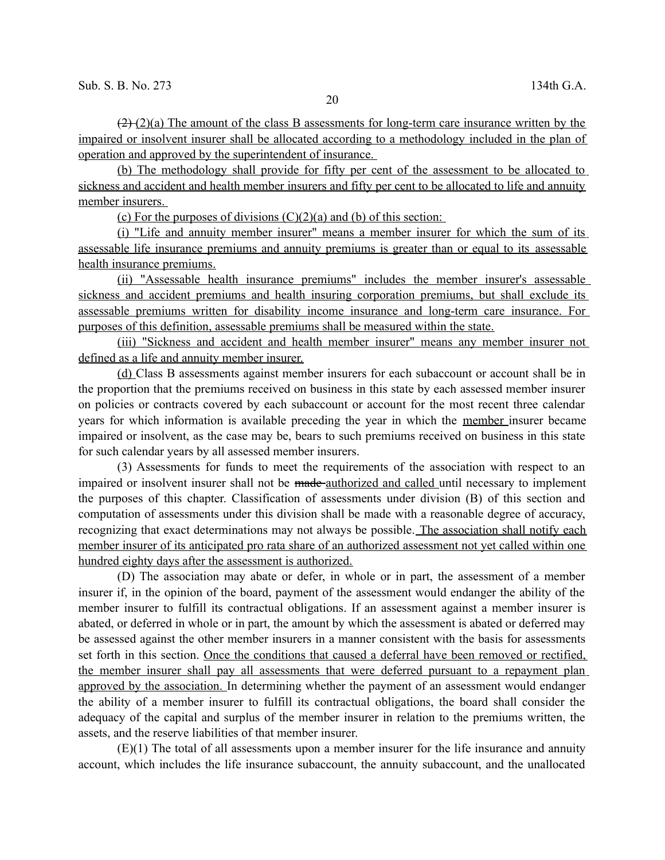$(2)(a)$  The amount of the class B assessments for long-term care insurance written by the impaired or insolvent insurer shall be allocated according to a methodology included in the plan of operation and approved by the superintendent of insurance.

(b) The methodology shall provide for fifty per cent of the assessment to be allocated to sickness and accident and health member insurers and fifty per cent to be allocated to life and annuity member insurers.

(c) For the purposes of divisions  $(C)(2)(a)$  and (b) of this section:

(i) "Life and annuity member insurer" means a member insurer for which the sum of its assessable life insurance premiums and annuity premiums is greater than or equal to its assessable health insurance premiums.

(ii) "Assessable health insurance premiums" includes the member insurer's assessable sickness and accident premiums and health insuring corporation premiums, but shall exclude its assessable premiums written for disability income insurance and long-term care insurance. For purposes of this definition, assessable premiums shall be measured within the state.

(iii) "Sickness and accident and health member insurer" means any member insurer not defined as a life and annuity member insurer.

(d) Class B assessments against member insurers for each subaccount or account shall be in the proportion that the premiums received on business in this state by each assessed member insurer on policies or contracts covered by each subaccount or account for the most recent three calendar years for which information is available preceding the year in which the member insurer became impaired or insolvent, as the case may be, bears to such premiums received on business in this state for such calendar years by all assessed member insurers.

(3) Assessments for funds to meet the requirements of the association with respect to an impaired or insolvent insurer shall not be made-authorized and called until necessary to implement the purposes of this chapter. Classification of assessments under division (B) of this section and computation of assessments under this division shall be made with a reasonable degree of accuracy, recognizing that exact determinations may not always be possible. The association shall notify each member insurer of its anticipated pro rata share of an authorized assessment not yet called within one hundred eighty days after the assessment is authorized.

(D) The association may abate or defer, in whole or in part, the assessment of a member insurer if, in the opinion of the board, payment of the assessment would endanger the ability of the member insurer to fulfill its contractual obligations. If an assessment against a member insurer is abated, or deferred in whole or in part, the amount by which the assessment is abated or deferred may be assessed against the other member insurers in a manner consistent with the basis for assessments set forth in this section. Once the conditions that caused a deferral have been removed or rectified, the member insurer shall pay all assessments that were deferred pursuant to a repayment plan approved by the association. In determining whether the payment of an assessment would endanger the ability of a member insurer to fulfill its contractual obligations, the board shall consider the adequacy of the capital and surplus of the member insurer in relation to the premiums written, the assets, and the reserve liabilities of that member insurer.

(E)(1) The total of all assessments upon a member insurer for the life insurance and annuity account, which includes the life insurance subaccount, the annuity subaccount, and the unallocated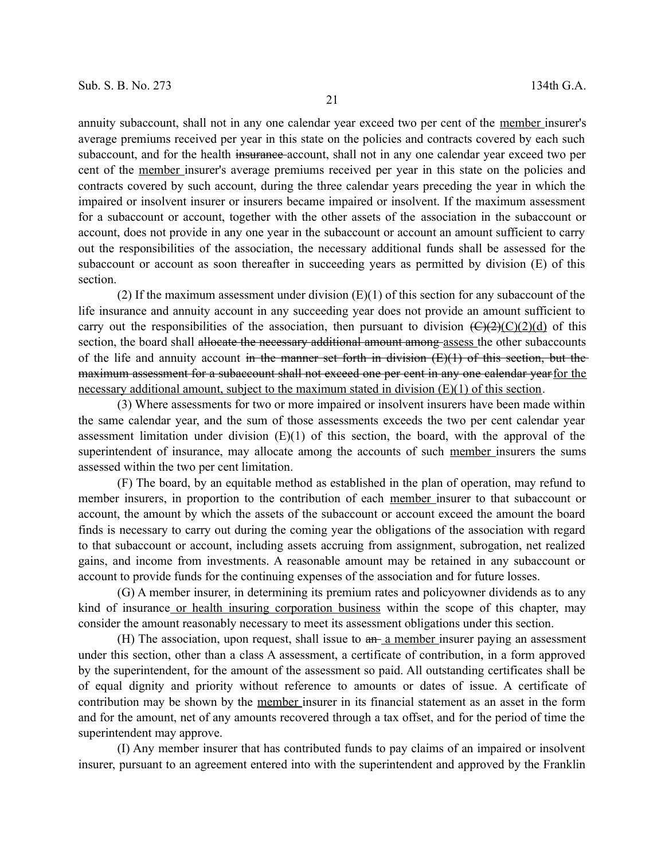annuity subaccount, shall not in any one calendar year exceed two per cent of the member insurer's average premiums received per year in this state on the policies and contracts covered by each such subaccount, and for the health insurance-account, shall not in any one calendar year exceed two per cent of the member insurer's average premiums received per year in this state on the policies and contracts covered by such account, during the three calendar years preceding the year in which the impaired or insolvent insurer or insurers became impaired or insolvent. If the maximum assessment for a subaccount or account, together with the other assets of the association in the subaccount or account, does not provide in any one year in the subaccount or account an amount sufficient to carry out the responsibilities of the association, the necessary additional funds shall be assessed for the subaccount or account as soon thereafter in succeeding years as permitted by division (E) of this section.

(2) If the maximum assessment under division  $(E)(1)$  of this section for any subaccount of the life insurance and annuity account in any succeeding year does not provide an amount sufficient to carry out the responsibilities of the association, then pursuant to division  $(\overline{C)(2)}(C)(C)(d)$  of this section, the board shall allocate the necessary additional amount among-assess the other subaccounts of the life and annuity account in the manner set forth in division  $(E)(1)$  of this section, but the maximum assessment for a subaccount shall not exceed one per cent in any one calendar year for the necessary additional amount, subject to the maximum stated in division (E)(1) of this section.

(3) Where assessments for two or more impaired or insolvent insurers have been made within the same calendar year, and the sum of those assessments exceeds the two per cent calendar year assessment limitation under division  $(E)(1)$  of this section, the board, with the approval of the superintendent of insurance, may allocate among the accounts of such member insurers the sums assessed within the two per cent limitation.

(F) The board, by an equitable method as established in the plan of operation, may refund to member insurers, in proportion to the contribution of each member insurer to that subaccount or account, the amount by which the assets of the subaccount or account exceed the amount the board finds is necessary to carry out during the coming year the obligations of the association with regard to that subaccount or account, including assets accruing from assignment, subrogation, net realized gains, and income from investments. A reasonable amount may be retained in any subaccount or account to provide funds for the continuing expenses of the association and for future losses.

(G) A member insurer, in determining its premium rates and policyowner dividends as to any kind of insurance or health insuring corporation business within the scope of this chapter, may consider the amount reasonably necessary to meet its assessment obligations under this section.

(H) The association, upon request, shall issue to  $a_n$  member insurer paying an assessment under this section, other than a class A assessment, a certificate of contribution, in a form approved by the superintendent, for the amount of the assessment so paid. All outstanding certificates shall be of equal dignity and priority without reference to amounts or dates of issue. A certificate of contribution may be shown by the member insurer in its financial statement as an asset in the form and for the amount, net of any amounts recovered through a tax offset, and for the period of time the superintendent may approve.

(I) Any member insurer that has contributed funds to pay claims of an impaired or insolvent insurer, pursuant to an agreement entered into with the superintendent and approved by the Franklin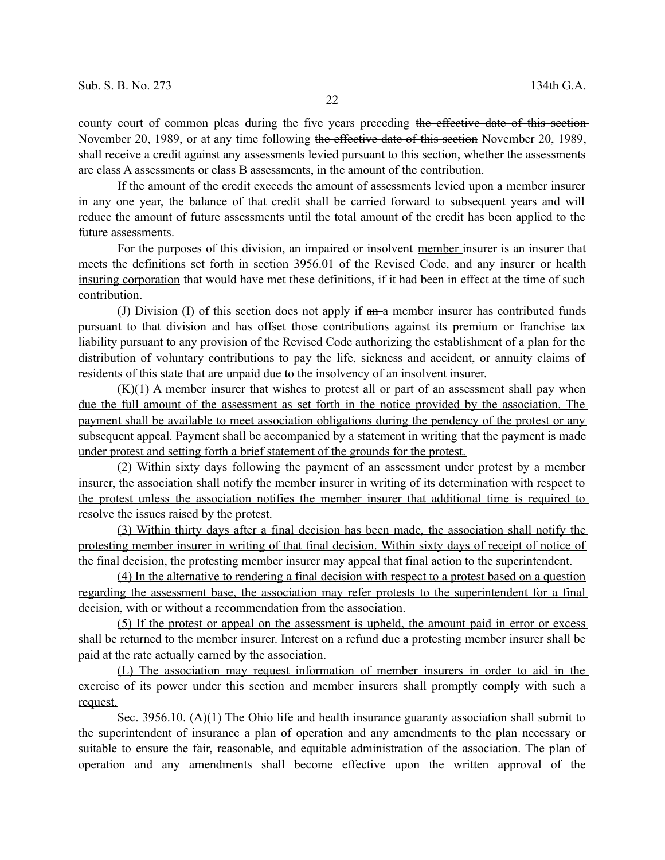county court of common pleas during the five years preceding the effective date of this section-November 20, 1989, or at any time following the effective date of this section November 20, 1989, shall receive a credit against any assessments levied pursuant to this section, whether the assessments are class A assessments or class B assessments, in the amount of the contribution.

If the amount of the credit exceeds the amount of assessments levied upon a member insurer in any one year, the balance of that credit shall be carried forward to subsequent years and will reduce the amount of future assessments until the total amount of the credit has been applied to the future assessments.

For the purposes of this division, an impaired or insolvent member insurer is an insurer that meets the definitions set forth in section 3956.01 of the Revised Code, and any insurer or health insuring corporation that would have met these definitions, if it had been in effect at the time of such contribution.

(J) Division (I) of this section does not apply if  $a_n$  member insurer has contributed funds pursuant to that division and has offset those contributions against its premium or franchise tax liability pursuant to any provision of the Revised Code authorizing the establishment of a plan for the distribution of voluntary contributions to pay the life, sickness and accident, or annuity claims of residents of this state that are unpaid due to the insolvency of an insolvent insurer.

 $(K)(1)$  A member insurer that wishes to protest all or part of an assessment shall pay when due the full amount of the assessment as set forth in the notice provided by the association. The payment shall be available to meet association obligations during the pendency of the protest or any subsequent appeal. Payment shall be accompanied by a statement in writing that the payment is made under protest and setting forth a brief statement of the grounds for the protest.

(2) Within sixty days following the payment of an assessment under protest by a member insurer, the association shall notify the member insurer in writing of its determination with respect to the protest unless the association notifies the member insurer that additional time is required to resolve the issues raised by the protest.

(3) Within thirty days after a final decision has been made, the association shall notify the protesting member insurer in writing of that final decision. Within sixty days of receipt of notice of the final decision, the protesting member insurer may appeal that final action to the superintendent.

(4) In the alternative to rendering a final decision with respect to a protest based on a question regarding the assessment base, the association may refer protests to the superintendent for a final decision, with or without a recommendation from the association.

(5) If the protest or appeal on the assessment is upheld, the amount paid in error or excess shall be returned to the member insurer. Interest on a refund due a protesting member insurer shall be paid at the rate actually earned by the association.

(L) The association may request information of member insurers in order to aid in the exercise of its power under this section and member insurers shall promptly comply with such a request.

Sec. 3956.10. (A)(1) The Ohio life and health insurance guaranty association shall submit to the superintendent of insurance a plan of operation and any amendments to the plan necessary or suitable to ensure the fair, reasonable, and equitable administration of the association. The plan of operation and any amendments shall become effective upon the written approval of the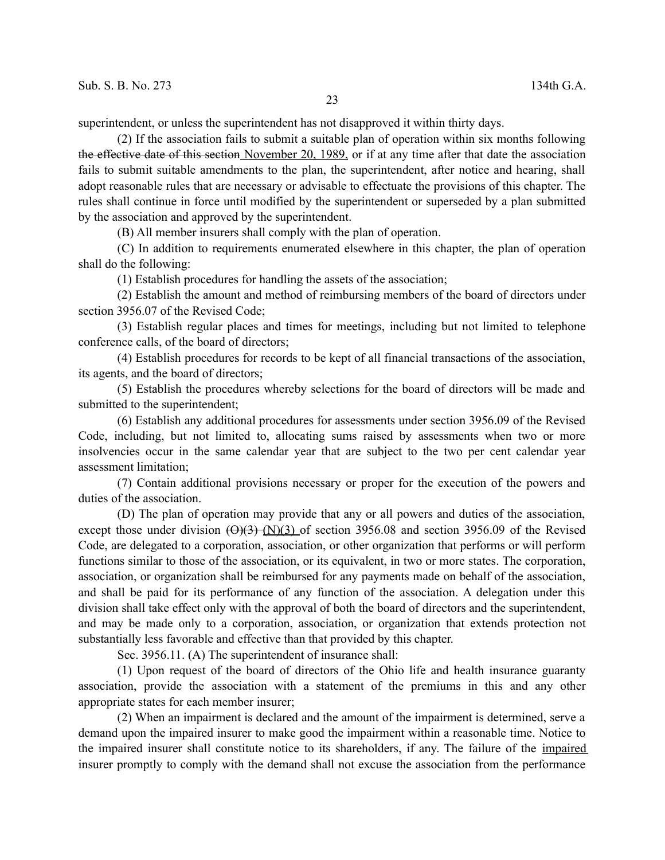superintendent, or unless the superintendent has not disapproved it within thirty days.

(2) If the association fails to submit a suitable plan of operation within six months following the effective date of this section November 20, 1989, or if at any time after that date the association fails to submit suitable amendments to the plan, the superintendent, after notice and hearing, shall adopt reasonable rules that are necessary or advisable to effectuate the provisions of this chapter. The rules shall continue in force until modified by the superintendent or superseded by a plan submitted by the association and approved by the superintendent.

(B) All member insurers shall comply with the plan of operation.

(C) In addition to requirements enumerated elsewhere in this chapter, the plan of operation shall do the following:

(1) Establish procedures for handling the assets of the association;

(2) Establish the amount and method of reimbursing members of the board of directors under section 3956.07 of the Revised Code;

(3) Establish regular places and times for meetings, including but not limited to telephone conference calls, of the board of directors;

(4) Establish procedures for records to be kept of all financial transactions of the association, its agents, and the board of directors;

(5) Establish the procedures whereby selections for the board of directors will be made and submitted to the superintendent;

(6) Establish any additional procedures for assessments under section 3956.09 of the Revised Code, including, but not limited to, allocating sums raised by assessments when two or more insolvencies occur in the same calendar year that are subject to the two per cent calendar year assessment limitation;

(7) Contain additional provisions necessary or proper for the execution of the powers and duties of the association.

(D) The plan of operation may provide that any or all powers and duties of the association, except those under division  $(\Theta)(3)$  (N)(3) of section 3956.08 and section 3956.09 of the Revised Code, are delegated to a corporation, association, or other organization that performs or will perform functions similar to those of the association, or its equivalent, in two or more states. The corporation, association, or organization shall be reimbursed for any payments made on behalf of the association, and shall be paid for its performance of any function of the association. A delegation under this division shall take effect only with the approval of both the board of directors and the superintendent, and may be made only to a corporation, association, or organization that extends protection not substantially less favorable and effective than that provided by this chapter.

Sec. 3956.11. (A) The superintendent of insurance shall:

(1) Upon request of the board of directors of the Ohio life and health insurance guaranty association, provide the association with a statement of the premiums in this and any other appropriate states for each member insurer;

(2) When an impairment is declared and the amount of the impairment is determined, serve a demand upon the impaired insurer to make good the impairment within a reasonable time. Notice to the impaired insurer shall constitute notice to its shareholders, if any. The failure of the impaired insurer promptly to comply with the demand shall not excuse the association from the performance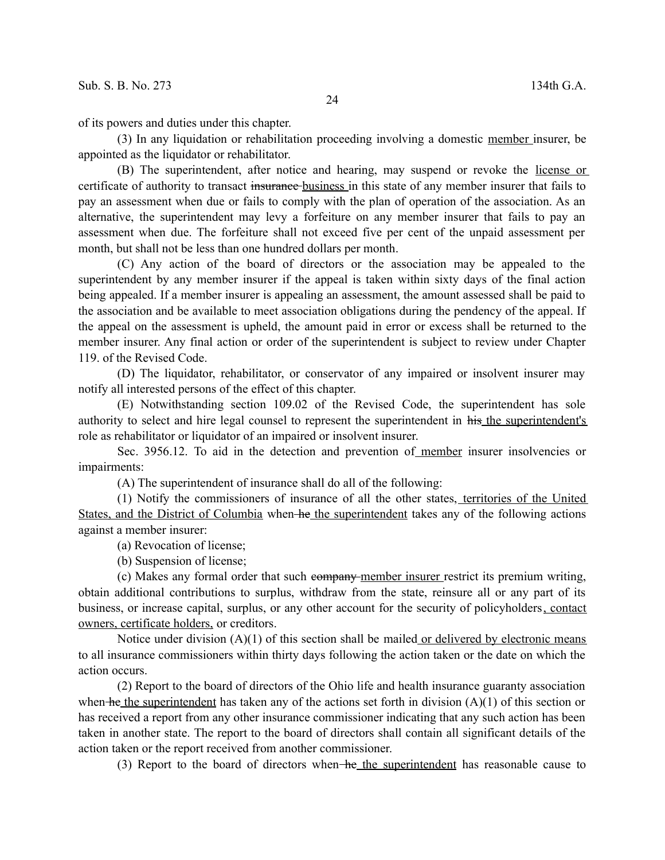of its powers and duties under this chapter.

(3) In any liquidation or rehabilitation proceeding involving a domestic member insurer, be appointed as the liquidator or rehabilitator.

(B) The superintendent, after notice and hearing, may suspend or revoke the license or certificate of authority to transact insurance business in this state of any member insurer that fails to pay an assessment when due or fails to comply with the plan of operation of the association. As an alternative, the superintendent may levy a forfeiture on any member insurer that fails to pay an assessment when due. The forfeiture shall not exceed five per cent of the unpaid assessment per month, but shall not be less than one hundred dollars per month.

(C) Any action of the board of directors or the association may be appealed to the superintendent by any member insurer if the appeal is taken within sixty days of the final action being appealed. If a member insurer is appealing an assessment, the amount assessed shall be paid to the association and be available to meet association obligations during the pendency of the appeal. If the appeal on the assessment is upheld, the amount paid in error or excess shall be returned to the member insurer. Any final action or order of the superintendent is subject to review under Chapter 119. of the Revised Code.

(D) The liquidator, rehabilitator, or conservator of any impaired or insolvent insurer may notify all interested persons of the effect of this chapter.

(E) Notwithstanding section 109.02 of the Revised Code, the superintendent has sole authority to select and hire legal counsel to represent the superintendent in his the superintendent's role as rehabilitator or liquidator of an impaired or insolvent insurer.

Sec. 3956.12. To aid in the detection and prevention of member insurer insolvencies or impairments:

(A) The superintendent of insurance shall do all of the following:

(1) Notify the commissioners of insurance of all the other states, territories of the United States, and the District of Columbia when he the superintendent takes any of the following actions against a member insurer:

(a) Revocation of license;

(b) Suspension of license;

(c) Makes any formal order that such company member insurer restrict its premium writing, obtain additional contributions to surplus, withdraw from the state, reinsure all or any part of its business, or increase capital, surplus, or any other account for the security of policyholders, contact owners, certificate holders, or creditors.

Notice under division  $(A)(1)$  of this section shall be mailed or delivered by electronic means to all insurance commissioners within thirty days following the action taken or the date on which the action occurs.

(2) Report to the board of directors of the Ohio life and health insurance guaranty association when he the superintendent has taken any of the actions set forth in division  $(A)(1)$  of this section or has received a report from any other insurance commissioner indicating that any such action has been taken in another state. The report to the board of directors shall contain all significant details of the action taken or the report received from another commissioner.

(3) Report to the board of directors when he the superintendent has reasonable cause to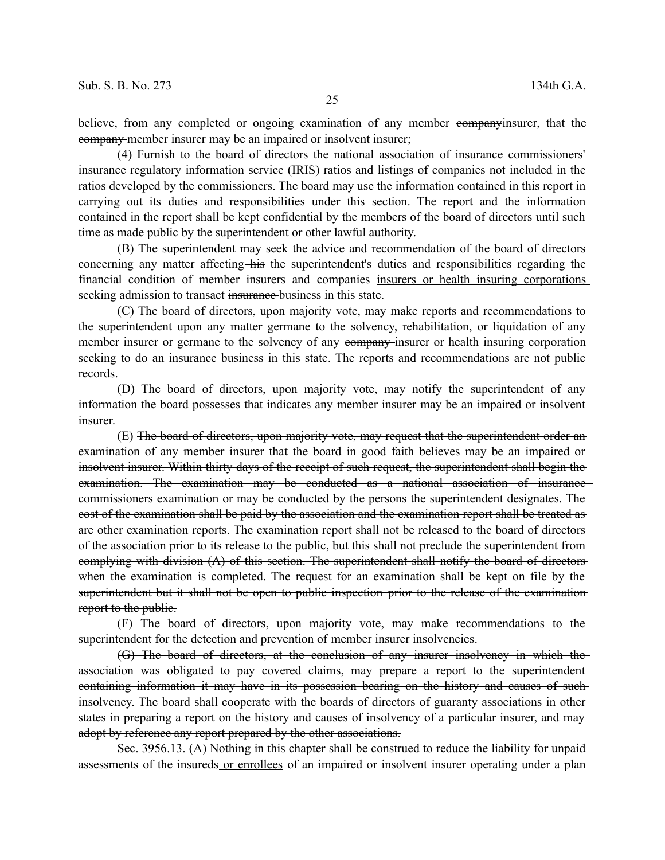believe, from any completed or ongoing examination of any member companyinsurer, that the company member insurer may be an impaired or insolvent insurer;

(4) Furnish to the board of directors the national association of insurance commissioners' insurance regulatory information service (IRIS) ratios and listings of companies not included in the ratios developed by the commissioners. The board may use the information contained in this report in carrying out its duties and responsibilities under this section. The report and the information contained in the report shall be kept confidential by the members of the board of directors until such time as made public by the superintendent or other lawful authority.

(B) The superintendent may seek the advice and recommendation of the board of directors concerning any matter affecting his the superintendent's duties and responsibilities regarding the financial condition of member insurers and companies insurers or health insuring corporations seeking admission to transact insurance-business in this state.

(C) The board of directors, upon majority vote, may make reports and recommendations to the superintendent upon any matter germane to the solvency, rehabilitation, or liquidation of any member insurer or germane to the solvency of any company-insurer or health insuring corporation seeking to do an insurance-business in this state. The reports and recommendations are not public records.

(D) The board of directors, upon majority vote, may notify the superintendent of any information the board possesses that indicates any member insurer may be an impaired or insolvent insurer.

(E) The board of directors, upon majority vote, may request that the superintendent order an examination of any member insurer that the board in good faith believes may be an impaired or insolvent insurer. Within thirty days of the receipt of such request, the superintendent shall begin the examination. The examination may be conducted as a national association of insurance commissioners examination or may be conducted by the persons the superintendent designates. The cost of the examination shall be paid by the association and the examination report shall be treated as are other examination reports. The examination report shall not be released to the board of directors of the association prior to its release to the public, but this shall not preclude the superintendent from complying with division (A) of this section. The superintendent shall notify the board of directors when the examination is completed. The request for an examination shall be kept on file by the superintendent but it shall not be open to public inspection prior to the release of the examination report to the public.

(F) The board of directors, upon majority vote, may make recommendations to the superintendent for the detection and prevention of <u>member</u> insurer insolvencies.

(G) The board of directors, at the conclusion of any insurer insolvency in which the association was obligated to pay covered claims, may prepare a report to the superintendent containing information it may have in its possession bearing on the history and causes of such insolvency. The board shall cooperate with the boards of directors of guaranty associations in other states in preparing a report on the history and causes of insolvency of a particular insurer, and may adopt by reference any report prepared by the other associations.

Sec. 3956.13. (A) Nothing in this chapter shall be construed to reduce the liability for unpaid assessments of the insureds or enrollees of an impaired or insolvent insurer operating under a plan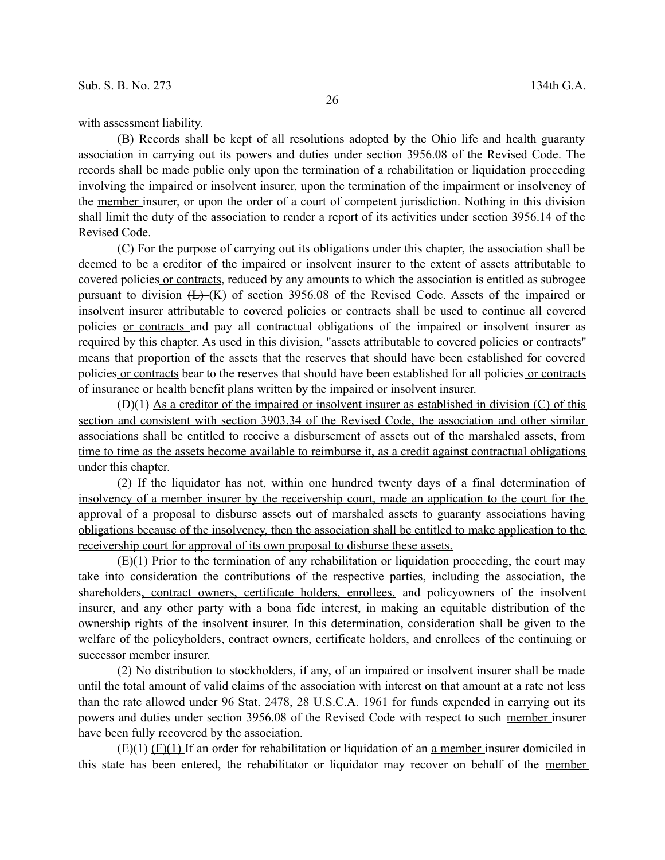with assessment liability.

(B) Records shall be kept of all resolutions adopted by the Ohio life and health guaranty association in carrying out its powers and duties under section 3956.08 of the Revised Code. The records shall be made public only upon the termination of a rehabilitation or liquidation proceeding involving the impaired or insolvent insurer, upon the termination of the impairment or insolvency of the member insurer, or upon the order of a court of competent jurisdiction. Nothing in this division shall limit the duty of the association to render a report of its activities under section 3956.14 of the Revised Code.

(C) For the purpose of carrying out its obligations under this chapter, the association shall be deemed to be a creditor of the impaired or insolvent insurer to the extent of assets attributable to covered policies or contracts, reduced by any amounts to which the association is entitled as subrogee pursuant to division  $(L)$   $(K)$  of section 3956.08 of the Revised Code. Assets of the impaired or insolvent insurer attributable to covered policies or contracts shall be used to continue all covered policies or contracts and pay all contractual obligations of the impaired or insolvent insurer as required by this chapter. As used in this division, "assets attributable to covered policies or contracts" means that proportion of the assets that the reserves that should have been established for covered policies or contracts bear to the reserves that should have been established for all policies or contracts of insurance or health benefit plans written by the impaired or insolvent insurer.

(D)(1) As a creditor of the impaired or insolvent insurer as established in division (C) of this section and consistent with section 3903.34 of the Revised Code, the association and other similar associations shall be entitled to receive a disbursement of assets out of the marshaled assets, from time to time as the assets become available to reimburse it, as a credit against contractual obligations under this chapter.

(2) If the liquidator has not, within one hundred twenty days of a final determination of insolvency of a member insurer by the receivership court, made an application to the court for the approval of a proposal to disburse assets out of marshaled assets to guaranty associations having obligations because of the insolvency, then the association shall be entitled to make application to the receivership court for approval of its own proposal to disburse these assets.

(E)(1) Prior to the termination of any rehabilitation or liquidation proceeding, the court may take into consideration the contributions of the respective parties, including the association, the shareholders, contract owners, certificate holders, enrollees, and policyowners of the insolvent insurer, and any other party with a bona fide interest, in making an equitable distribution of the ownership rights of the insolvent insurer. In this determination, consideration shall be given to the welfare of the policyholders, contract owners, certificate holders, and enrollees of the continuing or successor member insurer.

(2) No distribution to stockholders, if any, of an impaired or insolvent insurer shall be made until the total amount of valid claims of the association with interest on that amount at a rate not less than the rate allowed under 96 Stat. 2478, 28 U.S.C.A. 1961 for funds expended in carrying out its powers and duties under section 3956.08 of the Revised Code with respect to such member insurer have been fully recovered by the association.

 $(E)(1)$  If an order for rehabilitation or liquidation of  $an a$  member insurer domiciled in this state has been entered, the rehabilitator or liquidator may recover on behalf of the member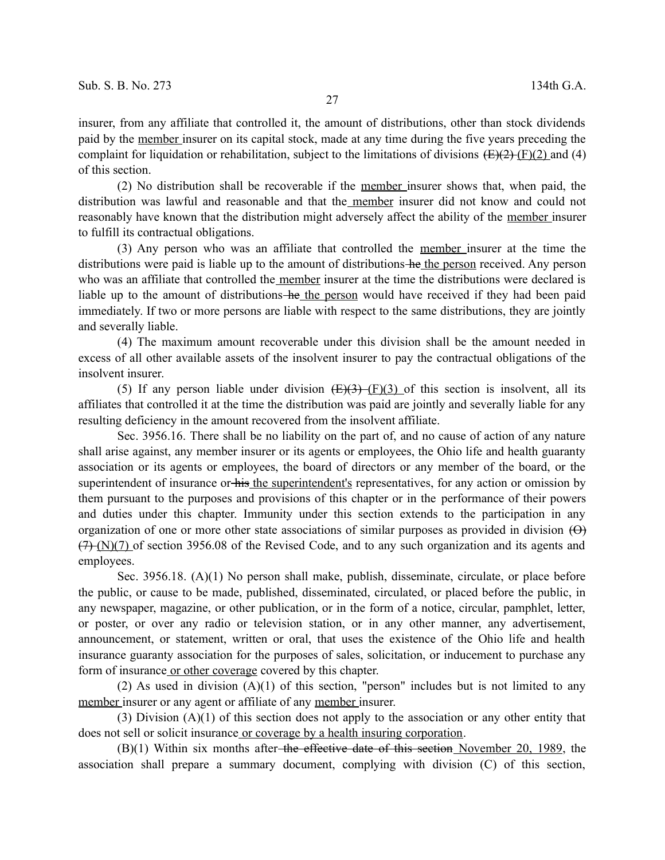insurer, from any affiliate that controlled it, the amount of distributions, other than stock dividends paid by the member insurer on its capital stock, made at any time during the five years preceding the complaint for liquidation or rehabilitation, subject to the limitations of divisions  $(E)(2)$  (F)(2) and (4) of this section.

(2) No distribution shall be recoverable if the member insurer shows that, when paid, the distribution was lawful and reasonable and that the member insurer did not know and could not reasonably have known that the distribution might adversely affect the ability of the member insurer to fulfill its contractual obligations.

(3) Any person who was an affiliate that controlled the member insurer at the time the distributions were paid is liable up to the amount of distributions he the person received. Any person who was an affiliate that controlled the member insurer at the time the distributions were declared is liable up to the amount of distributions-he the person would have received if they had been paid immediately. If two or more persons are liable with respect to the same distributions, they are jointly and severally liable.

(4) The maximum amount recoverable under this division shall be the amount needed in excess of all other available assets of the insolvent insurer to pay the contractual obligations of the insolvent insurer.

(5) If any person liable under division  $(E)(3)$  (F)(3) of this section is insolvent, all its affiliates that controlled it at the time the distribution was paid are jointly and severally liable for any resulting deficiency in the amount recovered from the insolvent affiliate.

Sec. 3956.16. There shall be no liability on the part of, and no cause of action of any nature shall arise against, any member insurer or its agents or employees, the Ohio life and health guaranty association or its agents or employees, the board of directors or any member of the board, or the superintendent of insurance or his the superintendent's representatives, for any action or omission by them pursuant to the purposes and provisions of this chapter or in the performance of their powers and duties under this chapter. Immunity under this section extends to the participation in any organization of one or more other state associations of similar purposes as provided in division  $(\Theta)$  $(7)$  (N)(7) of section 3956.08 of the Revised Code, and to any such organization and its agents and employees.

Sec. 3956.18. (A)(1) No person shall make, publish, disseminate, circulate, or place before the public, or cause to be made, published, disseminated, circulated, or placed before the public, in any newspaper, magazine, or other publication, or in the form of a notice, circular, pamphlet, letter, or poster, or over any radio or television station, or in any other manner, any advertisement, announcement, or statement, written or oral, that uses the existence of the Ohio life and health insurance guaranty association for the purposes of sales, solicitation, or inducement to purchase any form of insurance or other coverage covered by this chapter.

(2) As used in division  $(A)(1)$  of this section, "person" includes but is not limited to any member insurer or any agent or affiliate of any member insurer.

(3) Division (A)(1) of this section does not apply to the association or any other entity that does not sell or solicit insurance or coverage by a health insuring corporation.

 $(B)(1)$  Within six months after the effective date of this section November 20, 1989, the association shall prepare a summary document, complying with division (C) of this section,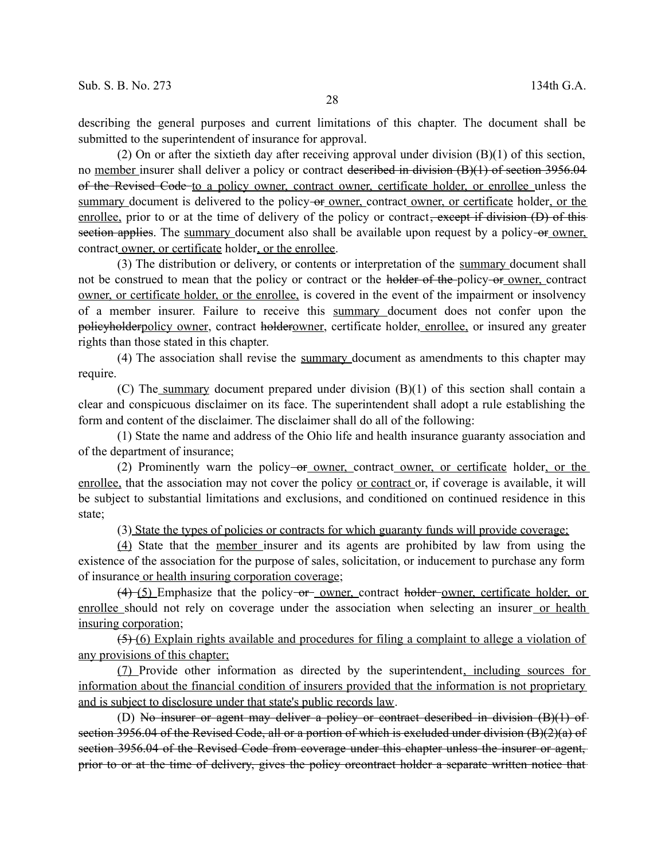describing the general purposes and current limitations of this chapter. The document shall be submitted to the superintendent of insurance for approval.

(2) On or after the sixtieth day after receiving approval under division (B)(1) of this section, no member insurer shall deliver a policy or contract <del>described in division (B)(1) of section 3956.04</del> of the Revised Code to a policy owner, contract owner, certificate holder, or enrollee unless the summary document is delivered to the policy-or owner, contract owner, or certificate holder, or the enrollee, prior to or at the time of delivery of the policy or contract, except if division (D) of this section applies. The summary document also shall be available upon request by a policy-or owner, contract owner, or certificate holder, or the enrollee.

(3) The distribution or delivery, or contents or interpretation of the summary document shall not be construed to mean that the policy or contract or the holder of the policy or owner, contract owner, or certificate holder, or the enrollee, is covered in the event of the impairment or insolvency of a member insurer. Failure to receive this summary document does not confer upon the policyholderpolicy owner, contract holderowner, certificate holder, enrollee, or insured any greater rights than those stated in this chapter.

(4) The association shall revise the summary document as amendments to this chapter may require.

(C) The summary document prepared under division (B)(1) of this section shall contain a clear and conspicuous disclaimer on its face. The superintendent shall adopt a rule establishing the form and content of the disclaimer. The disclaimer shall do all of the following:

(1) State the name and address of the Ohio life and health insurance guaranty association and of the department of insurance;

(2) Prominently warn the policy<del> or owner, contract owner, or certificate</del> holder, or the enrollee, that the association may not cover the policy or contract or, if coverage is available, it will be subject to substantial limitations and exclusions, and conditioned on continued residence in this state;

(3) State the types of policies or contracts for which guaranty funds will provide coverage;

(4) State that the member insurer and its agents are prohibited by law from using the existence of the association for the purpose of sales, solicitation, or inducement to purchase any form of insurance or health insuring corporation coverage;

 $(4)$  (5) Emphasize that the policy or owner, contract holder owner, certificate holder, or enrollee should not rely on coverage under the association when selecting an insurer or health insuring corporation;

(5) (6) Explain rights available and procedures for filing a complaint to allege a violation of any provisions of this chapter;

(7) Provide other information as directed by the superintendent, including sources for information about the financial condition of insurers provided that the information is not proprietary and is subject to disclosure under that state's public records law.

(D) No insurer or agent may deliver a policy or contract described in division (B)(1) of section 3956.04 of the Revised Code, all or a portion of which is excluded under division (B)(2)(a) of section 3956.04 of the Revised Code from coverage under this chapter unless the insurer or agent. prior to or at the time of delivery, gives the policy or contract holder a separate written notice that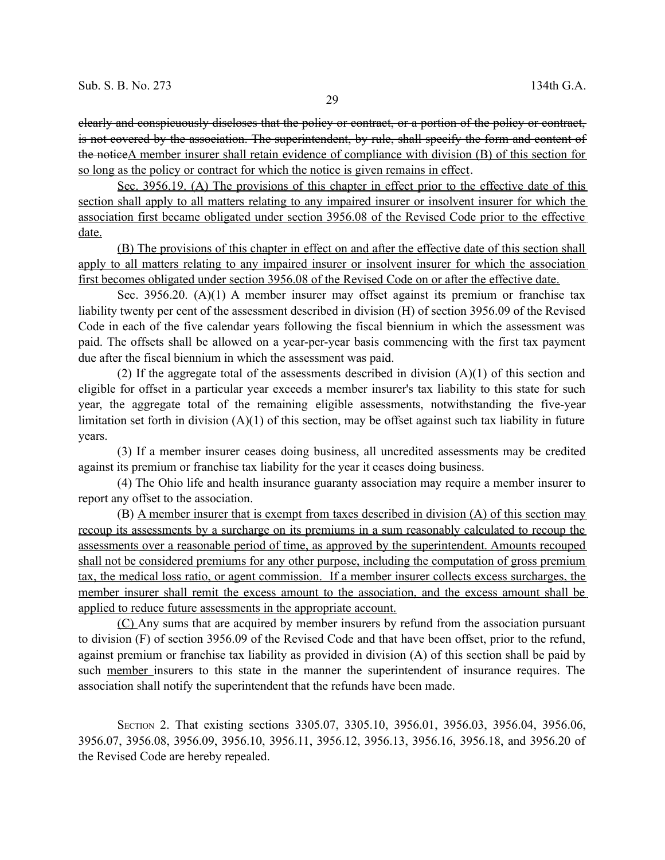clearly and conspicuously discloses that the policy or contract, or a portion of the policy or contract, is not covered by the association. The superintendent, by rule, shall specify the form and content of the noticeA member insurer shall retain evidence of compliance with division (B) of this section for so long as the policy or contract for which the notice is given remains in effect.

Sec. 3956.19. (A) The provisions of this chapter in effect prior to the effective date of this section shall apply to all matters relating to any impaired insurer or insolvent insurer for which the association first became obligated under section 3956.08 of the Revised Code prior to the effective date.

(B) The provisions of this chapter in effect on and after the effective date of this section shall apply to all matters relating to any impaired insurer or insolvent insurer for which the association first becomes obligated under section 3956.08 of the Revised Code on or after the effective date.

Sec. 3956.20. (A)(1) A member insurer may offset against its premium or franchise tax liability twenty per cent of the assessment described in division (H) of section 3956.09 of the Revised Code in each of the five calendar years following the fiscal biennium in which the assessment was paid. The offsets shall be allowed on a year-per-year basis commencing with the first tax payment due after the fiscal biennium in which the assessment was paid.

(2) If the aggregate total of the assessments described in division  $(A)(1)$  of this section and eligible for offset in a particular year exceeds a member insurer's tax liability to this state for such year, the aggregate total of the remaining eligible assessments, notwithstanding the five-year limitation set forth in division  $(A)(1)$  of this section, may be offset against such tax liability in future years.

(3) If a member insurer ceases doing business, all uncredited assessments may be credited against its premium or franchise tax liability for the year it ceases doing business.

(4) The Ohio life and health insurance guaranty association may require a member insurer to report any offset to the association.

(B) A member insurer that is exempt from taxes described in division (A) of this section may recoup its assessments by a surcharge on its premiums in a sum reasonably calculated to recoup the assessments over a reasonable period of time, as approved by the superintendent. Amounts recouped shall not be considered premiums for any other purpose, including the computation of gross premium tax, the medical loss ratio, or agent commission. If a member insurer collects excess surcharges, the member insurer shall remit the excess amount to the association, and the excess amount shall be applied to reduce future assessments in the appropriate account.

(C) Any sums that are acquired by member insurers by refund from the association pursuant to division (F) of section 3956.09 of the Revised Code and that have been offset, prior to the refund, against premium or franchise tax liability as provided in division (A) of this section shall be paid by such member insurers to this state in the manner the superintendent of insurance requires. The association shall notify the superintendent that the refunds have been made.

SECTION 2. That existing sections 3305.07, 3305.10, 3956.01, 3956.03, 3956.04, 3956.06, 3956.07, 3956.08, 3956.09, 3956.10, 3956.11, 3956.12, 3956.13, 3956.16, 3956.18, and 3956.20 of the Revised Code are hereby repealed.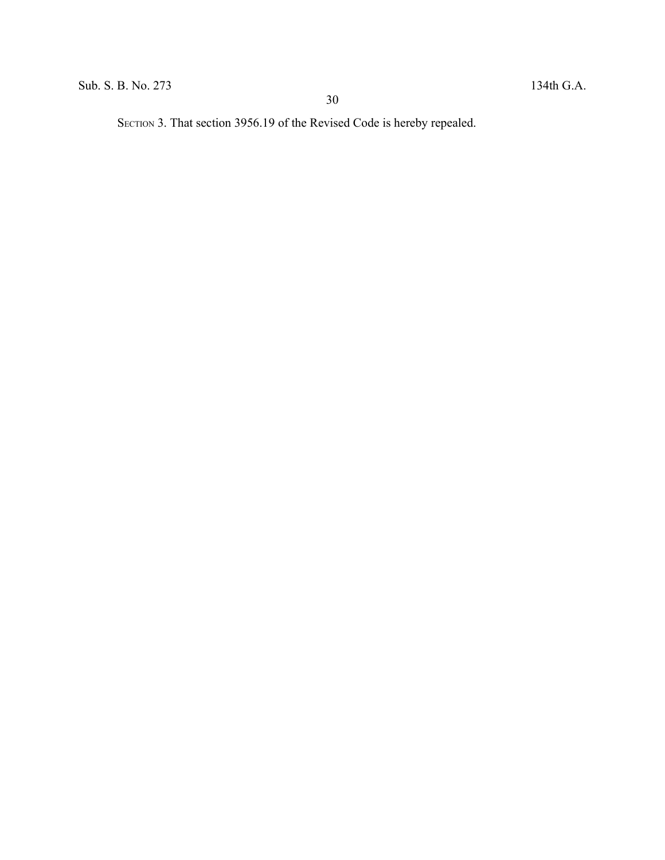SECTION 3. That section 3956.19 of the Revised Code is hereby repealed.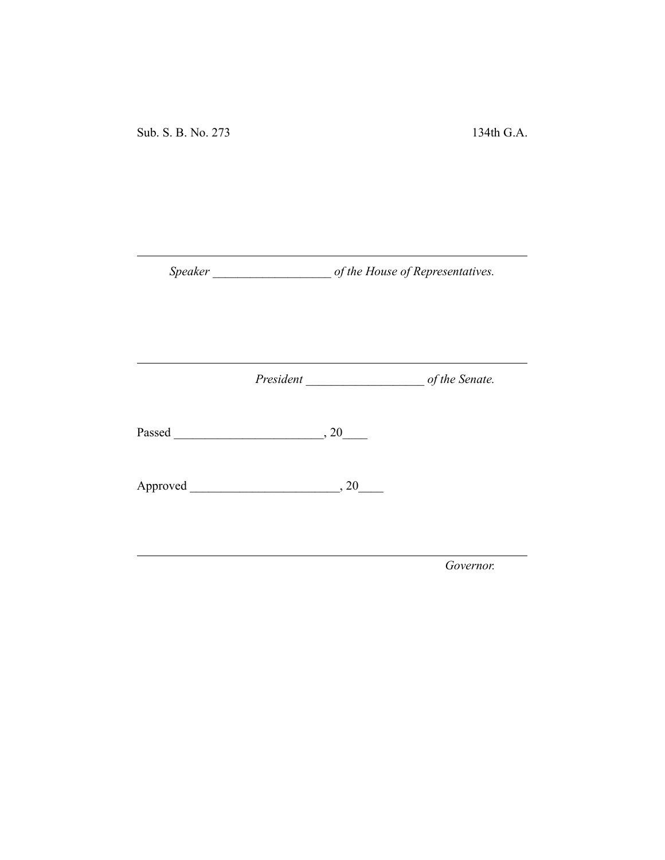Sub. S. B. No. 273 134th G.A.

*Speaker \_\_\_\_\_\_\_\_\_\_\_\_\_\_\_\_\_\_\_ of the House of Representatives.*

*President \_\_\_\_\_\_\_\_\_\_\_\_\_\_\_\_\_\_\_ of the Senate.*

Passed \_\_\_\_\_\_\_\_\_\_\_\_\_\_\_\_\_\_\_\_\_\_\_\_, 20\_\_\_\_

Approved \_\_\_\_\_\_\_\_\_\_\_\_\_\_\_\_\_\_\_\_\_\_\_\_, 20\_\_\_\_

*Governor.*